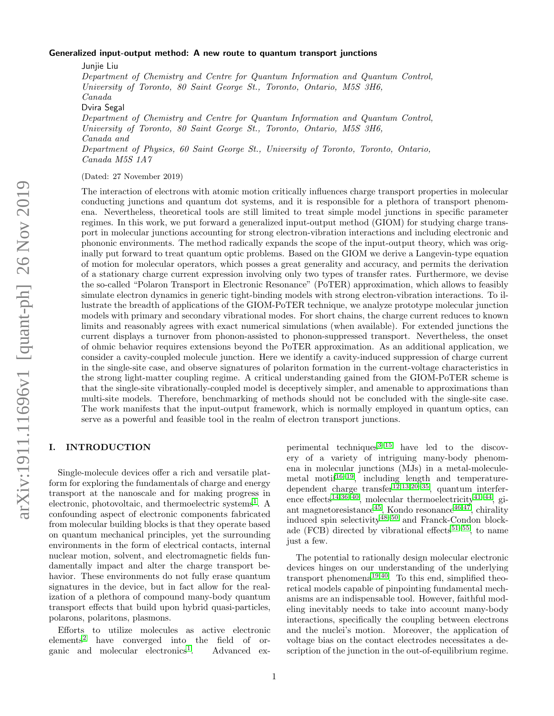#### Generalized input-output method: A new route to quantum transport junctions

Junjie Liu Department of Chemistry and Centre for Quantum Information and Quantum Control, University of Toronto, 80 Saint George St., Toronto, Ontario, M5S 3H6, Canada Dvira Segal Department of Chemistry and Centre for Quantum Information and Quantum Control, University of Toronto, 80 Saint George St., Toronto, Ontario, M5S 3H6, Canada and Department of Physics, 60 Saint George St., University of Toronto, Toronto, Ontario, Canada M5S 1A7

(Dated: 27 November 2019)

The interaction of electrons with atomic motion critically influences charge transport properties in molecular conducting junctions and quantum dot systems, and it is responsible for a plethora of transport phenomena. Nevertheless, theoretical tools are still limited to treat simple model junctions in specific parameter regimes. In this work, we put forward a generalized input-output method (GIOM) for studying charge transport in molecular junctions accounting for strong electron-vibration interactions and including electronic and phononic environments. The method radically expands the scope of the input-output theory, which was originally put forward to treat quantum optic problems. Based on the GIOM we derive a Langevin-type equation of motion for molecular operators, which posses a great generality and accuracy, and permits the derivation of a stationary charge current expression involving only two types of transfer rates. Furthermore, we devise the so-called "Polaron Transport in Electronic Resonance" (PoTER) approximation, which allows to feasibly simulate electron dynamics in generic tight-binding models with strong electron-vibration interactions. To illustrate the breadth of applications of the GIOM-PoTER technique, we analyze prototype molecular junction models with primary and secondary vibrational modes. For short chains, the charge current reduces to known limits and reasonably agrees with exact numerical simulations (when available). For extended junctions the current displays a turnover from phonon-assisted to phonon-suppressed transport. Nevertheless, the onset of ohmic behavior requires extensions beyond the PoTER approximation. As an additional application, we consider a cavity-coupled molecule junction. Here we identify a cavity-induced suppression of charge current in the single-site case, and observe signatures of polariton formation in the current-voltage characteristics in the strong light-matter coupling regime. A critical understanding gained from the GIOM-PoTER scheme is that the single-site vibrationally-coupled model is deceptively simpler, and amenable to approximations than multi-site models. Therefore, benchmarking of methods should not be concluded with the single-site case. The work manifests that the input-output framework, which is normally employed in quantum optics, can serve as a powerful and feasible tool in the realm of electron transport junctions.

# I. INTRODUCTION

Single-molecule devices offer a rich and versatile platform for exploring the fundamentals of charge and energy transport at the nanoscale and for making progress in electronic, photovoltaic, and thermoelectric systems<sup>[1](#page-21-0)</sup>. A confounding aspect of electronic components fabricated from molecular building blocks is that they operate based on quantum mechanical principles, yet the surrounding environments in the form of electrical contacts, internal nuclear motion, solvent, and electromagnetic fields fundamentally impact and alter the charge transport behavior. These environments do not fully erase quantum signatures in the device, but in fact allow for the realization of a plethora of compound many-body quantum transport effects that build upon hybrid quasi-particles, polarons, polaritons, plasmons.

Efforts to utilize molecules as active electronic elements<sup>[2](#page-21-1)</sup> have converged into the field of or-ganic and molecular electronics<sup>[1](#page-21-0)</sup>. . Advanced experimental techniques $3-15$  $3-15$  have led to the discovery of a variety of intriguing many-body phenomena in molecular junctions (MJs) in a metal-molecule-metal motif<sup>[16](#page-21-4)[–19](#page-21-5)</sup>, including length and temperature-dependent charge transfer<sup>[12,](#page-21-6)[13](#page-21-7)[,20](#page-21-8)[–35](#page-21-9)</sup>, quantum interfer-ence effects<sup>[14,](#page-21-10)[36–](#page-21-11)[40](#page-21-12)</sup>, molecular thermoelectricity<sup>[41–](#page-21-13)[44](#page-22-0)</sup>, gi-ant magnetoresistance<sup>[45](#page-22-1)</sup>, Kondo resonance<sup>[46,](#page-22-2)[47](#page-22-3)</sup>, chirality induced spin selectivity<sup>[48](#page-22-4)[–50](#page-22-5)</sup> and Franck-Condon block-ade (FCB) directed by vibrational effects<sup>[51–](#page-22-6)[55](#page-22-7)</sup>, to name just a few.

The potential to rationally design molecular electronic devices hinges on our understanding of the underlying transport phenomena<sup>[19,](#page-21-5)[40](#page-21-12)</sup>. To this end, simplified theoretical models capable of pinpointing fundamental mechanisms are an indispensable tool. However, faithful modeling inevitably needs to take into account many-body interactions, specifically the coupling between electrons and the nuclei's motion. Moreover, the application of voltage bias on the contact electrodes necessitates a description of the junction in the out-of-equilibrium regime.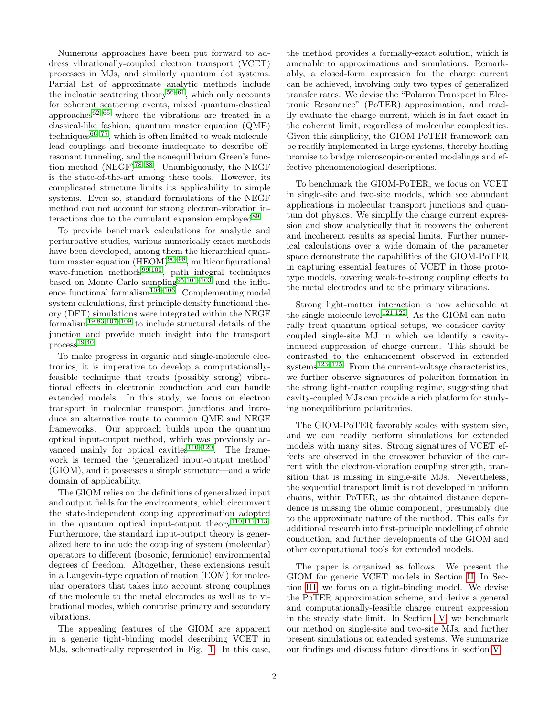Numerous approaches have been put forward to address vibrationally-coupled electron transport (VCET) processes in MJs, and similarly quantum dot systems. Partial list of approximate analytic methods include the inelastic scattering theory<sup>[56](#page-22-8)[–61](#page-22-9)</sup>, which only accounts for coherent scattering events, mixed quantum-classical approaches<sup>[62–](#page-22-10)[65](#page-22-11)</sup> where the vibrations are treated in a classical-like fashion, quantum master equation (QME) techniques $66-77$  $66-77$ , which is often limited to weak moleculelead couplings and become inadequate to describe offresonant tunneling, and the nonequilibrium Green's function method  $(NEGF)^{78-88}$  $(NEGF)^{78-88}$  $(NEGF)^{78-88}$ . Unambiguously, the NEGF is the state-of-the-art among these tools. However, its complicated structure limits its applicability to simple systems. Even so, standard formulations of the NEGF method can not account for strong electron-vibration in-teractions due to the cumulant expansion employed<sup>[89](#page-22-16)</sup>.

To provide benchmark calculations for analytic and perturbative studies, various numerically-exact methods have been developed, among them the hierarchical quantum master equation  $(HEOM)^{90-98}$  $(HEOM)^{90-98}$  $(HEOM)^{90-98}$ , multiconfigurational wave-function methods<sup>[99,](#page-22-19)[100](#page-22-20)</sup>, path integral techniques based on Monte Carlo sampling<sup>[95,](#page-22-21)[101–](#page-22-22)[103](#page-23-0)</sup> and the influ-ence functional formalism<sup>[104–](#page-23-1)[106](#page-23-2)</sup>. Complementing model system calculations, first principle density functional theory (DFT) simulations were integrated within the NEGF  $formalism$ <sup>[19](#page-21-5)[,83](#page-22-23)[,107](#page-23-3)[–109](#page-23-4)</sup> to include structural details of the junction and provide much insight into the transport  $process<sup>19,40</sup>$  $process<sup>19,40</sup>$  $process<sup>19,40</sup>$  $process<sup>19,40</sup>$ .

To make progress in organic and single-molecule electronics, it is imperative to develop a computationallyfeasible technique that treats (possibly strong) vibrational effects in electronic conduction and can handle extended models. In this study, we focus on electron transport in molecular transport junctions and introduce an alternative route to common QME and NEGF frameworks. Our approach builds upon the quantum optical input-output method, which was previously ad-vanced mainly for optical cavities<sup>[110](#page-23-5)[–120](#page-23-6)</sup>. The framework is termed the 'generalized input-output method' (GIOM), and it possesses a simple structure—and a wide domain of applicability.

The GIOM relies on the definitions of generalized input and output fields for the environments, which circumvent the state-independent coupling approximation adopted in the quantum optical input-output theory<sup>[110](#page-23-5)[,111,](#page-23-7)[113](#page-23-8)</sup>. Furthermore, the standard input-output theory is generalized here to include the coupling of system (molecular) operators to different (bosonic, fermionic) environmental degrees of freedom. Altogether, these extensions result in a Langevin-type equation of motion (EOM) for molecular operators that takes into account strong couplings of the molecule to the metal electrodes as well as to vibrational modes, which comprise primary and secondary vibrations.

The appealing features of the GIOM are apparent in a generic tight-binding model describing VCET in MJs, schematically represented in Fig. [1.](#page-2-0) In this case, the method provides a formally-exact solution, which is amenable to approximations and simulations. Remarkably, a closed-form expression for the charge current can be achieved, involving only two types of generalized transfer rates. We devise the "Polaron Transport in Electronic Resonance" (PoTER) approximation, and readily evaluate the charge current, which is in fact exact in the coherent limit, regardless of molecular complexities. Given this simplicity, the GIOM-PoTER framework can be readily implemented in large systems, thereby holding promise to bridge microscopic-oriented modelings and effective phenomenological descriptions.

To benchmark the GIOM-PoTER, we focus on VCET in single-site and two-site models, which see abundant applications in molecular transport junctions and quantum dot physics. We simplify the charge current expression and show analytically that it recovers the coherent and incoherent results as special limits. Further numerical calculations over a wide domain of the parameter space demonstrate the capabilities of the GIOM-PoTER in capturing essential features of VCET in those prototype models, covering weak-to-strong coupling effects to the metal electrodes and to the primary vibrations.

Strong light-matter interaction is now achievable at the single molecule level<sup>[121](#page-23-9)[,122](#page-23-10)</sup>. As the GIOM can naturally treat quantum optical setups, we consider cavitycoupled single-site MJ in which we identify a cavityinduced suppression of charge current. This should be contrasted to the enhancement observed in extended  $s$ ystems<sup>[123–](#page-23-11)[125](#page-23-12)</sup>. From the current-voltage characteristics, we further observe signatures of polariton formation in the strong light-matter coupling regime, suggesting that cavity-coupled MJs can provide a rich platform for studying nonequilibrium polaritonics.

The GIOM-PoTER favorably scales with system size, and we can readily perform simulations for extended models with many sites. Strong signatures of VCET effects are observed in the crossover behavior of the current with the electron-vibration coupling strength, transition that is missing in single-site MJs. Nevertheless, the sequential transport limit is not developed in uniform chains, within PoTER, as the obtained distance dependence is missing the ohmic component, presumably due to the approximate nature of the method. This calls for additional research into first-principle modelling of ohmic conduction, and further developments of the GIOM and other computational tools for extended models.

The paper is organized as follows. We present the GIOM for generic VCET models in Section [II.](#page-2-1) In Section [III,](#page-4-0) we focus on a tight-binding model. We devise the PoTER approximation scheme, and derive a general and computationally-feasible charge current expression in the steady state limit. In Section [IV,](#page-8-0) we benchmark our method on single-site and two-site MJs, and further present simulations on extended systems. We summarize our findings and discuss future directions in section [V.](#page-16-0)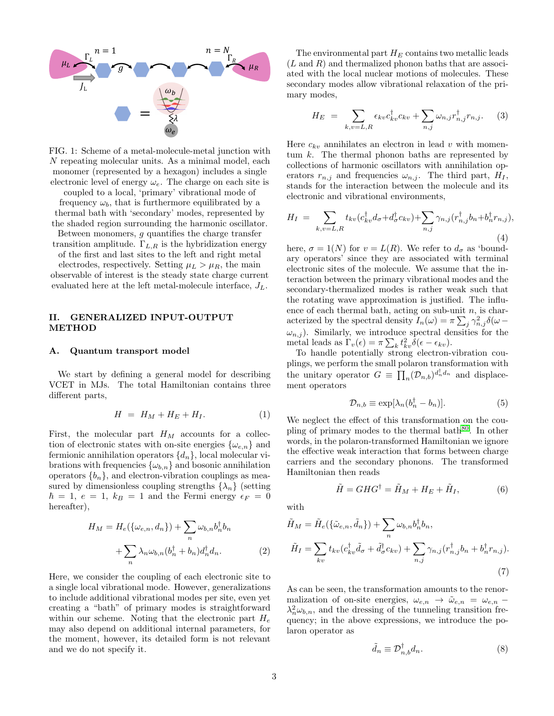<span id="page-2-0"></span>

FIG. 1: Scheme of a metal-molecule-metal junction with N repeating molecular units. As a minimal model, each monomer (represented by a hexagon) includes a single electronic level of energy  $\omega_e$ . The charge on each site is

coupled to a local, 'primary' vibrational mode of frequency  $\omega_b$ , that is furthermore equilibrated by a thermal bath with 'secondary' modes, represented by the shaded region surrounding the harmonic oscillator.

Between monomers,  $g$  quantifies the charge transfer transition amplitude.  $\Gamma_{L,R}$  is the hybridization energy

of the first and last sites to the left and right metal electrodes, respectively. Setting  $\mu_L > \mu_R$ , the main observable of interest is the steady state charge current evaluated here at the left metal-molecule interface,  $J_L$ .

## <span id="page-2-1"></span>II. GENERALIZED INPUT-OUTPUT METHOD

#### A. Quantum transport model

We start by defining a general model for describing VCET in MJs. The total Hamiltonian contains three different parts,

<span id="page-2-6"></span>
$$
H = H_M + H_E + H_I. \tag{1}
$$

First, the molecular part  $H_M$  accounts for a collection of electronic states with on-site energies  $\{\omega_{e,n}\}\$  and fermionic annihilation operators  $\{d_n\}$ , local molecular vibrations with frequencies  $\{\omega_{b,n}\}\$  and bosonic annihilation operators  ${b_n}$ , and electron-vibration couplings as measured by dimensionless coupling strengths  $\{\lambda_n\}$  (setting  $\hbar = 1, e = 1, k_B = 1$  and the Fermi energy  $\epsilon_F = 0$ hereafter),

<span id="page-2-4"></span>
$$
H_M = H_e(\{\omega_{e,n}, d_n\}) + \sum_n \omega_{b,n} b_n^{\dagger} b_n
$$

$$
+ \sum_n \lambda_n \omega_{b,n} (b_n^{\dagger} + b_n) d_n^{\dagger} d_n.
$$
 (2)

Here, we consider the coupling of each electronic site to a single local vibrational mode. However, generalizations to include additional vibrational modes per site, even yet creating a "bath" of primary modes is straightforward within our scheme. Noting that the electronic part  $H_e$ may also depend on additional internal parameters, for the moment, however, its detailed form is not relevant and we do not specify it.

The environmental part  $H_E$  contains two metallic leads  $(L \text{ and } R)$  and thermalized phonon baths that are associated with the local nuclear motions of molecules. These secondary modes allow vibrational relaxation of the primary modes,

$$
H_E = \sum_{k,v=L,R} \epsilon_{kv} c_{kv}^\dagger c_{kv} + \sum_{n,j} \omega_{n,j} r_{n,j}^\dagger r_{n,j}.
$$
 (3)

Here  $c_{kv}$  annihilates an electron in lead v with momentum  $k$ . The thermal phonon baths are represented by collections of harmonic oscillators with annihilation operators  $r_{n,j}$  and frequencies  $\omega_{n,j}$ . The third part,  $H_I$ , stands for the interaction between the molecule and its electronic and vibrational environments,

<span id="page-2-5"></span>
$$
H_I = \sum_{k,v=L,R} t_{kv} (c_{kv}^\dagger d_\sigma + d_\sigma^\dagger c_{kv}) + \sum_{n,j} \gamma_{n,j} (r_{n,j}^\dagger b_n + b_n^\dagger r_{n,j}),
$$
\n(4)

here,  $\sigma = 1(N)$  for  $v = L(R)$ . We refer to  $d_{\sigma}$  as 'boundary operators' since they are associated with terminal electronic sites of the molecule. We assume that the interaction between the primary vibrational modes and the secondary-thermalized modes is rather weak such that the rotating wave approximation is justified. The influence of each thermal bath, acting on sub-unit  $n$ , is characterized by the spectral density  $I_n(\omega) = \pi \sum_j \gamma_{n,j}^2 \delta(\omega \omega_{n,j}$ ). Similarly, we introduce spectral densities for the metal leads as  $\Gamma_v(\epsilon) = \pi \sum_k t_{kv}^2 \delta(\epsilon - \epsilon_{kv}).$ 

To handle potentially strong electron-vibration couplings, we perform the small polaron transformation with the unitary operator  $G \equiv \prod_n (D_{n,b})^{d_n^{\dagger} d_n}$  and displacement operators

<span id="page-2-7"></span>
$$
\mathcal{D}_{n,b} \equiv \exp[\lambda_n (b_n^{\dagger} - b_n)]. \tag{5}
$$

We neglect the effect of this transformation on the coupling of primary modes to the thermal bath $80$ . In other words, in the polaron-transformed Hamiltonian we ignore the effective weak interaction that forms between charge carriers and the secondary phonons. The transformed Hamiltonian then reads

<span id="page-2-2"></span>
$$
\tilde{H} = GHG^{\dagger} = \tilde{H}_M + H_E + \tilde{H}_I, \tag{6}
$$

with

<span id="page-2-3"></span>
$$
\tilde{H}_M = \tilde{H}_e(\{\tilde{\omega}_{e,n}, \tilde{d}_n\}) + \sum_n \omega_{b,n} b_n^{\dagger} b_n,
$$
\n
$$
\tilde{H}_I = \sum_{kv} t_{kv} (c_{kv}^{\dagger} \tilde{d}_{\sigma} + \tilde{d}_{\sigma}^{\dagger} c_{kv}) + \sum_{n,j} \gamma_{n,j} (r_{n,j}^{\dagger} b_n + b_n^{\dagger} r_{n,j}).
$$
\n(7)

As can be seen, the transformation amounts to the renormalization of on-site energies,  $\omega_{e,n} \rightarrow \tilde{\omega}_{e,n} = \omega_{e,n}$  $\lambda_n^2 \omega_{b,n}$ , and the dressing of the tunneling transition frequency; in the above expressions, we introduce the polaron operator as

$$
\tilde{d}_n \equiv \mathcal{D}_{n,b}^{\dagger} d_n. \tag{8}
$$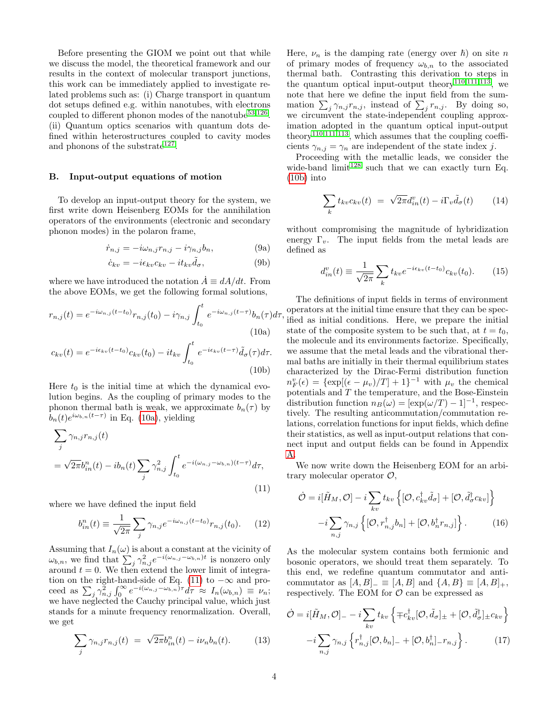Before presenting the GIOM we point out that while we discuss the model, the theoretical framework and our results in the context of molecular transport junctions, this work can be immediately applied to investigate related problems such as: (i) Charge transport in quantum dot setups defined e.g. within nanotubes, with electrons coupled to different phonon modes of the nanotube  $53,126$  $53,126$ . (ii) Quantum optics scenarios with quantum dots defined within heterostructures coupled to cavity modes and phonons of the substrate<sup>[127](#page-23-14)</sup>.

### B. Input-output equations of motion

To develop an input-output theory for the system, we first write down Heisenberg EOMs for the annihilation operators of the environments (electronic and secondary phonon modes) in the polaron frame,

$$
\dot{r}_{n,j} = -i\omega_{n,j}r_{n,j} - i\gamma_{n,j}b_n,\tag{9a}
$$

$$
\dot{c}_{kv} = -i\epsilon_{kv}c_{kv} - it_{kv}\tilde{d}_{\sigma},\tag{9b}
$$

where we have introduced the notation  $\dot{A} \equiv dA/dt$ . From the above EOMs, we get the following formal solutions,

$$
r_{n,j}(t) = e^{-i\omega_{n,j}(t-t_0)} r_{n,j}(t_0) - i\gamma_{n,j} \int_{t_0}^t e^{-i\omega_{n,j}(t-\tau)} b_n(\tau) d\tau,
$$
\n(10a)

$$
c_{kv}(t) = e^{-i\epsilon_{kv}(t-t_0)}c_{kv}(t_0) - it_{kv}\int_{t_0}^t e^{-i\epsilon_{kv}(t-\tau)}\tilde{d}_{\sigma}(\tau)d\tau.
$$
\n(10b)

Here  $t_0$  is the initial time at which the dynamical evolution begins. As the coupling of primary modes to the phonon thermal bath is weak, we approximate  $b_n(\tau)$  by  $b_n(t)e^{i\omega_{b,n}(t-\tau)}$  in Eq. [\(10a\)](#page-3-0), yielding

<span id="page-3-1"></span>
$$
\sum_{j} \gamma_{n,j} r_{n,j}(t)
$$
  
=  $\sqrt{2\pi} b_{in}^n(t) - ib_n(t) \sum_{j} \gamma_{n,j}^2 \int_{t_0}^t e^{-i(\omega_{n,j} - \omega_{b,n})(t-\tau)} d\tau,$  (11)

where we have defined the input field

$$
b_{in}^{n}(t) \equiv \frac{1}{\sqrt{2\pi}} \sum_{j} \gamma_{n,j} e^{-i\omega_{n,j}(t-t_0)} r_{n,j}(t_0).
$$
 (12)

Assuming that  $I_n(\omega)$  is about a constant at the vicinity of  $\omega_{b,n}$ , we find that  $\sum_j \gamma_{n,j}^2 e^{-i(\omega_{n,j}-\omega_{b,n})t}$  is nonzero only around  $t = 0$ . We then extend the lower limit of integra-tion on the right-hand-side of Eq. [\(11\)](#page-3-1) to  $-\infty$  and proceed as  $\sum_j \gamma_{n,j}^2 \int_0^\infty e^{-i(\omega_{n,j}-\omega_{b,n})\tau} d\tau \approx I_n(\omega_{b,n}) \equiv \nu_n;$ we have neglected the Cauchy principal value, which just stands for a minute frequency renormalization. Overall, we get

<span id="page-3-3"></span>
$$
\sum_{j} \gamma_{n,j} r_{n,j}(t) = \sqrt{2\pi} b_{in}^{n}(t) - i\nu_n b_n(t). \tag{13}
$$

Here,  $\nu_n$  is the damping rate (energy over  $\hbar$ ) on site n of primary modes of frequency  $\omega_{b,n}$  to the associated thermal bath. Contrasting this derivation to steps in the quantum optical input-output theory<sup>[110](#page-23-5)[,111](#page-23-7)[,113](#page-23-8)</sup>, we note that here we define the input field from the summation  $\sum_j \gamma_{n,j} r_{n,j}$ , instead of  $\sum_j r_{n,j}$ . By doing so, we circumvent the state-independent coupling approximation adopted in the quantum optical input-output theory<sup>[110](#page-23-5)[,111](#page-23-7)[,113](#page-23-8)</sup>, which assumes that the coupling coefficients  $\gamma_{n,j} = \gamma_n$  are independent of the state index j.

Proceeding with the metallic leads, we consider the wide-band  $\text{limit}^{128}$  $\text{limit}^{128}$  $\text{limit}^{128}$  such that we can exactly turn Eq. [\(10b\)](#page-3-2) into

<span id="page-3-4"></span>
$$
\sum_{k} t_{kv} c_{kv}(t) = \sqrt{2\pi} d_{in}^{v}(t) - i \Gamma_{v} \tilde{d}_{\sigma}(t) \qquad (14)
$$

<span id="page-3-6"></span><span id="page-3-5"></span>without compromising the magnitude of hybridization energy  $\Gamma_v$ . The input fields from the metal leads are defined as

$$
d_{in}^{v}(t) \equiv \frac{1}{\sqrt{2\pi}} \sum_{k} t_{kv} e^{-i\epsilon_{kv}(t-t_0)} c_{kv}(t_0).
$$
 (15)

<span id="page-3-2"></span><span id="page-3-0"></span>The definitions of input fields in terms of environment operators at the initial time ensure that they can be specified as initial conditions. Here, we prepare the initial state of the composite system to be such that, at  $t = t_0$ , the molecule and its environments factorize. Specifically, we assume that the metal leads and the vibrational thermal baths are initially in their thermal equilibrium states characterized by the Dirac-Fermi distribution function  $n_F^v(\epsilon) = {\exp[(\epsilon - \mu_v)/T] + 1}^{-1}$  with  $\mu_v$  the chemical potentials and  $T$  the temperature, and the Bose-Einstein distribution function  $n_B(\omega) = [\exp(\omega/T) - 1]^{-1}$ , respectively. The resulting anticommutation/commutation relations, correlation functions for input fields, which define their statistics, as well as input-output relations that connect input and output fields can be found in Appendix [A.](#page-18-0)

We now write down the Heisenberg EOM for an arbitrary molecular operator  $\mathcal{O},$ 

$$
\dot{\mathcal{O}} = i[\tilde{H}_M, \mathcal{O}] - i \sum_{kv} t_{kv} \left\{ [\mathcal{O}, c_{kv}^\dagger \tilde{d}_\sigma] + [\mathcal{O}, \tilde{d}_\sigma^\dagger c_{kv}] \right\} \n- i \sum_{n,j} \gamma_{n,j} \left\{ [\mathcal{O}, r_{n,j}^\dagger b_n] + [\mathcal{O}, b_n^\dagger r_{n,j}] \right\}.
$$
\n(16)

As the molecular system contains both fermionic and bosonic operators, we should treat them separately. To this end, we redefine quantum commutator and anticommutator as  $[A, B]_-\equiv [A, B]$  and  $\{A, B\}\equiv [A, B]_+,$ respectively. The EOM for  $\mathcal O$  can be expressed as

$$
\dot{\mathcal{O}} = i[\tilde{H}_M, \mathcal{O}]_ - - i \sum_{kv} t_{kv} \left\{ \mp c_{kv}^{\dagger}[\mathcal{O}, \tilde{d}_{\sigma}]_{\pm} + [\mathcal{O}, \tilde{d}_{\sigma}^{\dagger}]_{\pm} c_{kv} \right\}
$$

$$
-i \sum_{n,j} \gamma_{n,j} \left\{ r_{n,j}^{\dagger}[\mathcal{O}, b_n]_{-} + [\mathcal{O}, b_n^{\dagger}]_{-} r_{n,j} \right\}. \tag{17}
$$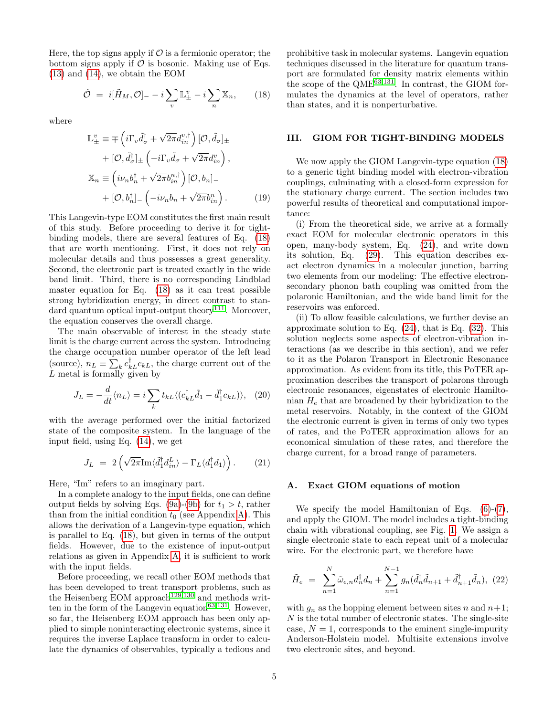Here, the top signs apply if  $\mathcal O$  is a fermionic operator; the bottom signs apply if  $\mathcal O$  is bosonic. Making use of Eqs. [\(13\)](#page-3-3) and [\(14\)](#page-3-4), we obtain the EOM

<span id="page-4-1"></span>
$$
\dot{\mathcal{O}} = i[\tilde{H}_M, \mathcal{O}]_--i\sum_v \mathbb{L}^v_{\pm} - i\sum_n \mathbb{X}_n, \qquad (18)
$$

where

$$
\mathbb{L}_{\pm}^{v} \equiv \mp \left( i \Gamma_{v} \tilde{d}_{\sigma}^{\dagger} + \sqrt{2\pi} d_{in}^{v,\dagger} \right) [\mathcal{O}, \tilde{d}_{\sigma}]_{\pm} \n+ [\mathcal{O}, \tilde{d}_{\sigma}^{\dagger}]_{\pm} \left( -i \Gamma_{v} \tilde{d}_{\sigma} + \sqrt{2\pi} d_{in}^{v} \right), \n\mathbb{X}_{n} \equiv \left( i \nu_{n} b_{n}^{\dagger} + \sqrt{2\pi} b_{in}^{n,\dagger} \right) [\mathcal{O}, b_{n}]_{-} \n+ [\mathcal{O}, b_{n}^{\dagger}]_{-} \left( -i \nu_{n} b_{n} + \sqrt{2\pi} b_{in}^{n} \right).
$$
\n(19)

This Langevin-type EOM constitutes the first main result of this study. Before proceeding to derive it for tightbinding models, there are several features of Eq. [\(18\)](#page-4-1) that are worth mentioning. First, it does not rely on molecular details and thus possesses a great generality. Second, the electronic part is treated exactly in the wide band limit. Third, there is no corresponding Lindblad master equation for Eq. [\(18\)](#page-4-1) as it can treat possible strong hybridization energy, in direct contrast to stan-dard quantum optical input-output theory<sup>[111](#page-23-7)</sup>. Moreover, the equation conserves the overall charge.

The main observable of interest in the steady state limit is the charge current across the system. Introducing the charge occupation number operator of the left lead (source),  $n_L \equiv \sum_k c_{kL}^{\dagger} c_{kL}$ , the charge current out of the L metal is formally given by

$$
J_L = -\frac{d}{dt}\langle n_L \rangle = i \sum_k t_{kL} \langle (c_{kL}^\dagger \tilde{d}_1 - \tilde{d}_1^\dagger c_{kL}) \rangle, \tag{20}
$$

with the average performed over the initial factorized state of the composite system. In the language of the input field, using Eq. [\(14\)](#page-3-4), we get

<span id="page-4-2"></span>
$$
J_L = 2\left(\sqrt{2\pi}\mathrm{Im}\langle \tilde{d}_1^{\dagger} d_{in}^L \rangle - \Gamma_L \langle d_1^{\dagger} d_1 \rangle\right). \tag{21}
$$

Here, "Im" refers to an imaginary part.

In a complete analogy to the input fields, one can define output fields by solving Eqs. [\(9a\)](#page-3-5)-[\(9b\)](#page-3-6) for  $t_1 > t$ , rather than from the initial condition  $t_0$  (see Appendix [A\)](#page-18-0). This allows the derivation of a Langevin-type equation, which is parallel to Eq. [\(18\)](#page-4-1), but given in terms of the output fields. However, due to the existence of input-output relations as given in Appendix [A,](#page-18-0) it is sufficient to work with the input fields.

Before proceeding, we recall other EOM methods that has been developed to treat transport problems, such as the Heisenberg EOM approach<sup>[129](#page-23-16)[,130](#page-23-17)</sup> and methods writ-ten in the form of the Langevin equation<sup>[63,](#page-22-26)[131](#page-23-18)</sup>. However, so far, the Heisenberg EOM approach has been only applied to simple noninteracting electronic systems, since it requires the inverse Laplace transform in order to calculate the dynamics of observables, typically a tedious and

prohibitive task in molecular systems. Langevin equation techniques discussed in the literature for quantum transport are formulated for density matrix elements within the scope of the  $QME^{63,131}$  $QME^{63,131}$  $QME^{63,131}$  $QME^{63,131}$ . In contrast, the GIOM formulates the dynamics at the level of operators, rather than states, and it is nonperturbative.

#### <span id="page-4-0"></span>III. GIOM FOR TIGHT-BINDING MODELS

We now apply the GIOM Langevin-type equation [\(18\)](#page-4-1) to a generic tight binding model with electron-vibration couplings, culminating with a closed-form expression for the stationary charge current. The section includes two powerful results of theoretical and computational importance:

(i) From the theoretical side, we arrive at a formally exact EOM for molecular electronic operators in this open, many-body system, Eq. [\(24\)](#page-5-0), and write down its solution, Eq. [\(29\)](#page-5-1). This equation describes exact electron dynamics in a molecular junction, barring two elements from our modeling: The effective electronsecondary phonon bath coupling was omitted from the polaronic Hamiltonian, and the wide band limit for the reservoirs was enforced.

(ii) To allow feasible calculations, we further devise an approximate solution to Eq.  $(24)$ , that is Eq.  $(32)$ . This solution neglects some aspects of electron-vibration interactions (as we describe in this section), and we refer to it as the Polaron Transport in Electronic Resonance approximation. As evident from its title, this PoTER approximation describes the transport of polarons through electronic resonances, eigenstates of electronic Hamiltonian  $H_e$  that are broadened by their hybridization to the metal reservoirs. Notably, in the context of the GIOM the electronic current is given in terms of only two types of rates, and the PoTER approximation allows for an economical simulation of these rates, and therefore the charge current, for a broad range of parameters.

#### <span id="page-4-3"></span>A. Exact GIOM equations of motion

We specify the model Hamiltonian of Eqs. [\(6\)](#page-2-2)-[\(7\)](#page-2-3), and apply the GIOM. The model includes a tight-binding chain with vibrational coupling, see Fig. [1.](#page-2-0) We assign a single electronic state to each repeat unit of a molecular wire. For the electronic part, we therefore have

$$
\tilde{H}_e = \sum_{n=1}^{N} \tilde{\omega}_{e,n} d_n^{\dagger} d_n + \sum_{n=1}^{N-1} g_n(\tilde{d}_n^{\dagger} \tilde{d}_{n+1} + \tilde{d}_{n+1}^{\dagger} \tilde{d}_n), (22)
$$

with  $q_n$  as the hopping element between sites n and  $n+1$ ; N is the total number of electronic states. The single-site case,  $N = 1$ , corresponds to the eminent single-impurity Anderson-Holstein model. Multisite extensions involve two electronic sites, and beyond.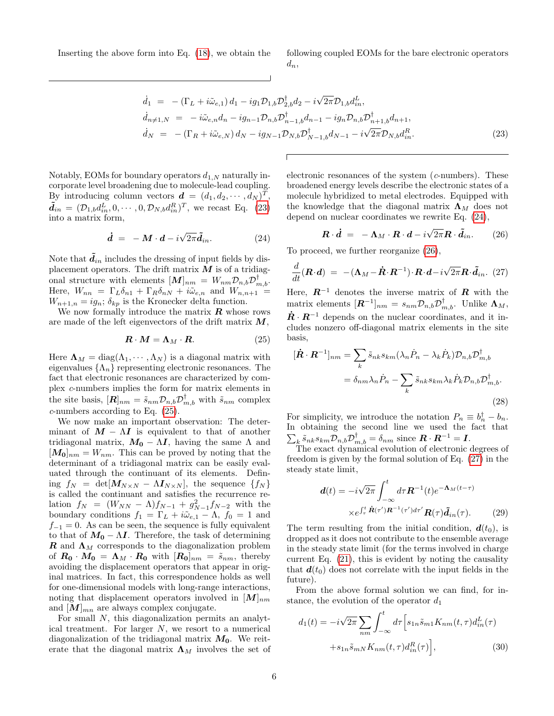Inserting the above form into Eq. [\(18\)](#page-4-1), we obtain the following coupled EOMs for the bare electronic operators  $d_n$ ,

<span id="page-5-2"></span>
$$
\dot{d}_{1} = -(\Gamma_{L} + i\tilde{\omega}_{e,1}) d_{1} - ig_{1} \mathcal{D}_{1,b} \mathcal{D}_{2,b}^{\dagger} d_{2} - i\sqrt{2\pi} \mathcal{D}_{1,b} d_{in}^{L}, \n\dot{d}_{n \neq 1,N} = -i\tilde{\omega}_{e,n} d_{n} - ig_{n-1} \mathcal{D}_{n,b} \mathcal{D}_{n-1,b}^{\dagger} d_{n-1} - ig_{n} \mathcal{D}_{n,b} \mathcal{D}_{n+1,b}^{\dagger} d_{n+1}, \n\dot{d}_{N} = -(\Gamma_{R} + i\tilde{\omega}_{e,N}) d_{N} - ig_{N-1} \mathcal{D}_{N,b} \mathcal{D}_{N-1,b}^{\dagger} d_{N-1} - i\sqrt{2\pi} \mathcal{D}_{N,b} d_{in}^{R}.
$$
\n(23)

Notably, EOMs for boundary operators  $d_{1,N}$  naturally incorporate level broadening due to molecule-lead coupling. By introducing column vectors  $\mathbf{d} = (d_1, d_2, \cdots, d_N)^T$ ,  $\tilde{d}_{in} = (\mathcal{D}_{1,b}d_{in}^L, 0, \cdots, 0, \mathcal{D}_{N,b}d_{in}^R)^T$ , we recast Eq. [\(23\)](#page-5-2) into a matrix form,

<span id="page-5-0"></span>
$$
\dot{\boldsymbol{d}} = -\boldsymbol{M} \cdot \boldsymbol{d} - i \sqrt{2\pi} \tilde{\boldsymbol{d}}_{in}.
$$
 (24)

Note that  $\mathbf{d}_{in}$  includes the dressing of input fields by displacement operators. The drift matrix  $M$  is of a tridiagonal structure with elements  $[M]_{nm} = W_{nm} \mathcal{D}_{n,b} \mathcal{D}_{m,b}^{\dagger}.$ Here,  $W_{nn} = \Gamma_L \delta_{n1} + \Gamma_R \delta_{nN} + i \tilde{\omega}_{e,n}$  and  $W_{n,n+1}$  =  $W_{n+1,n} = ig_n$ ;  $\delta_{kp}$  is the Kronecker delta function.

We now formally introduce the matrix  $R$  whose rows are made of the left eigenvectors of the drift matrix  $M$ ,

<span id="page-5-3"></span>
$$
\mathbf{R} \cdot \mathbf{M} = \mathbf{\Lambda}_M \cdot \mathbf{R}.\tag{25}
$$

Here  $\Lambda_M = \text{diag}(\Lambda_1, \cdots, \Lambda_N)$  is a diagonal matrix with eigenvalues  $\{\Lambda_n\}$  representing electronic resonances. The fact that electronic resonances are characterized by complex c-numbers implies the form for matrix elements in the site basis,  $[\mathbf{R}]_{nm} = \tilde{s}_{nm} \mathcal{D}_{n,b} \mathcal{D}_{m,b}^{\dagger}$  with  $\tilde{s}_{nm}$  complex c-numbers according to Eq. [\(25\)](#page-5-3).

We now make an important observation: The determinant of  $M - \Lambda I$  is equivalent to that of another tridiagonal matrix,  $M_0 - \Lambda I$ , having the same  $\Lambda$  and  $[M_0]_{nm} = W_{nm}$ . This can be proved by noting that the determinant of a tridiagonal matrix can be easily evaluated through the continuant of its elements. Defining  $f_N = det[\mathbf{M}_{N \times N} - \Lambda \mathbf{I}_{N \times N}]$ , the sequence  $\{f_N\}$ is called the continuant and satisfies the recurrence relation  $f_N = (W_{NN} - \Lambda)f_{N-1} + g_{N-1}^2f_{N-2}$  with the boundary conditions  $f_1 = \Gamma_L + i\tilde{\omega}_{e,1} - \Lambda$ ,  $f_0 = 1$  and  $f_{-1} = 0$ . As can be seen, the sequence is fully equivalent to that of  $M_0 - \Lambda I$ . Therefore, the task of determining **R** and  $\Lambda_M$  corresponds to the diagonalization problem of  $R_0 \cdot M_0 = \Lambda_M \cdot R_0$  with  $[R_0]_{nm} = \tilde{s}_{nm}$ , thereby avoiding the displacement operators that appear in original matrices. In fact, this correspondence holds as well for one-dimensional models with long-range interactions, noting that displacement operators involved in  $[M]_{nm}$ and  $[M]_{mn}$  are always complex conjugate.

For small N, this diagonalization permits an analytical treatment. For larger  $N$ , we resort to a numerical diagonalization of the tridiagonal matrix  $M_0$ . We reiterate that the diagonal matrix  $\Lambda_M$  involves the set of

electronic resonances of the system (c-numbers). These broadened energy levels describe the electronic states of a molecule hybridized to metal electrodes. Equipped with the knowledge that the diagonal matrix  $\Lambda_M$  does not depend on nuclear coordinates we rewrite Eq. [\(24\)](#page-5-0),

<span id="page-5-4"></span>
$$
\mathbf{R} \cdot \dot{\mathbf{d}} = -\mathbf{\Lambda}_M \cdot \mathbf{R} \cdot \mathbf{d} - i \sqrt{2\pi} \mathbf{R} \cdot \tilde{\mathbf{d}}_{in}. \qquad (26)
$$

To proceed, we further reorganize [\(26\)](#page-5-4),

<span id="page-5-5"></span>
$$
\frac{d}{dt}(\boldsymbol{R} \cdot \boldsymbol{d}) = -(\boldsymbol{\Lambda}_M - \dot{\boldsymbol{R}} \cdot \boldsymbol{R}^{-1}) \cdot \boldsymbol{R} \cdot \boldsymbol{d} - i \sqrt{2\pi} \boldsymbol{R} \cdot \tilde{\boldsymbol{d}}_{in}. (27)
$$

Here,  $\mathbb{R}^{-1}$  denotes the inverse matrix of  $\mathbb{R}$  with the matrix elements  $[\boldsymbol{R}^{-1}]_{nm} = s_{nm} \mathcal{D}_{n,b} \mathcal{D}_{m,b}^{\dagger}$ . Unlike  $\boldsymbol{\Lambda}_M$ ,  $\dot{\mathbf{R}} \cdot \mathbf{R}^{-1}$  depends on the nuclear coordinates, and it includes nonzero off-diagonal matrix elements in the site basis,

$$
[\dot{\boldsymbol{R}} \cdot \boldsymbol{R}^{-1}]_{nm} = \sum_{k} \tilde{s}_{nk} s_{km} (\lambda_n \dot{P}_n - \lambda_k \dot{P}_k) \mathcal{D}_{n,b} \mathcal{D}_{m,b}^{\dagger}
$$

$$
= \delta_{nm} \lambda_n \dot{P}_n - \sum_{k} \tilde{s}_{nk} s_{km} \lambda_k \dot{P}_k \mathcal{D}_{n,b} \mathcal{D}_{m,b}^{\dagger}.
$$
(28)

For simplicity, we introduce the notation  $P_n \equiv b_n^{\dagger} - b_n$ . In obtaining the second line we used the fact that  $\sum_{k} \tilde{s}_{nk} s_{km} \mathcal{D}_{n,b} \mathcal{D}_{m,b}^{\dagger} = \delta_{nm}$  since  $\mathbf{R} \cdot \mathbf{R}^{-1} = \mathbf{I}$ .

The exact dynamical evolution of electronic degrees of freedom is given by the formal solution of Eq. [\(27\)](#page-5-5) in the steady state limit,

<span id="page-5-1"></span>
$$
\mathbf{d}(t) = -i\sqrt{2\pi} \int_{-\infty}^{t} d\tau \mathbf{R}^{-1}(t) e^{-\mathbf{\Lambda}_M(t-\tau)} \times e^{\int_{\tau}^{t} \dot{\mathbf{R}}(\tau') \mathbf{R}^{-1}(\tau') d\tau'} \mathbf{R}(\tau) \tilde{\mathbf{d}}_{in}(\tau).
$$
 (29)

The term resulting from the initial condition,  $d(t_0)$ , is dropped as it does not contribute to the ensemble average in the steady state limit (for the terms involved in charge current Eq. [\(21\)](#page-4-2), this is evident by noting the causality that  $d(t_0)$  does not correlate with the input fields in the future).

From the above formal solution we can find, for instance, the evolution of the operator  $d_1$ 

<span id="page-5-6"></span>
$$
d_1(t) = -i\sqrt{2\pi} \sum_{nm} \int_{-\infty}^t d\tau \Big[ s_{1n} \tilde{s}_{m1} K_{nm}(t,\tau) d_{in}^L(\tau) + s_{1n} \tilde{s}_{mN} K_{nm}(t,\tau) d_{in}^R(\tau) \Big], \tag{30}
$$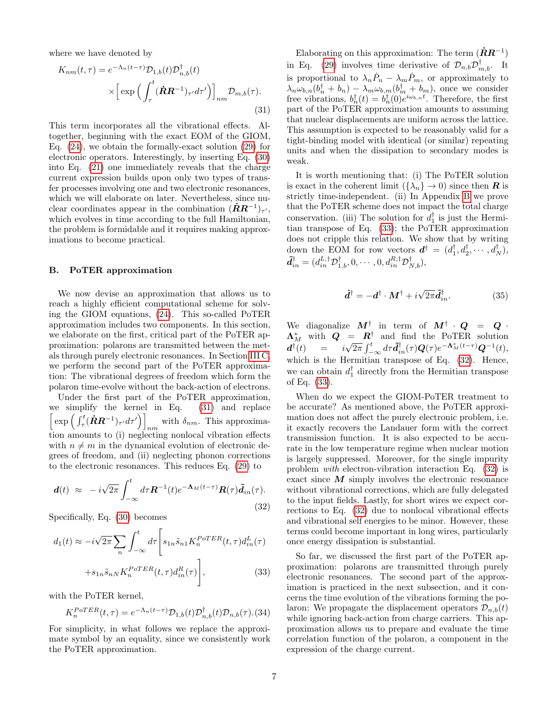where we have denoted by

<span id="page-6-1"></span>
$$
K_{nm}(t,\tau) = e^{-\Lambda_n(t-\tau)} \mathcal{D}_{1,b}(t) \mathcal{D}_{n,b}^{\dagger}(t)
$$

$$
\times \left[ \exp \left( \int_{\tau}^{t} (\dot{\mathbf{R}} \mathbf{R}^{-1})_{\tau'} d\tau' \right) \right]_{nm} \mathcal{D}_{m,b}(\tau). \tag{31}
$$

This term incorporates all the vibrational effects. Altogether, beginning with the exact EOM of the GIOM, Eq. [\(24\)](#page-5-0), we obtain the formally-exact solution [\(29\)](#page-5-1) for electronic operators. Interestingly, by inserting Eq. [\(30\)](#page-5-6) into Eq. [\(21\)](#page-4-2) one immediately reveals that the charge current expression builds upon only two types of transfer processes involving one and two electronic resonances, which we will elaborate on later. Nevertheless, since nuclear coordinates appear in the combination  $(\dot{R}R^{-1})_{\tau}$ , which evolves in time according to the full Hamiltonian, the problem is formidable and it requires making approximations to become practical.

#### B. PoTER approximation

We now devise an approximation that allows us to reach a highly efficient computational scheme for solving the GIOM equations, [\(24\)](#page-5-0). This so-called PoTER approximation includes two components. In this section, we elaborate on the first, critical part of the PoTER approximation: polarons are transmitted between the metals through purely electronic resonances. In Section [III C,](#page-7-0) we perform the second part of the PoTER approximation: The vibrational degrees of freedom which form the polaron time-evolve without the back-action of electrons.

Under the first part of the PoTER approximation, we simplify the kernel in Eq. [\(31\)](#page-6-1) and replace  $\left[\exp\left(\int_{\tau}^t (\dot{\boldsymbol{R}}\boldsymbol{R}^{-1})_{\tau'} d\tau'\right)\right]$ with  $\delta_{nm}$ . This approximation amounts to (i) neglecting nonlocal vibration effects with  $n \neq m$  in the dynamical evolution of electronic degrees of freedom, and (ii) neglecting phonon corrections to the electronic resonances. This reduces Eq. [\(29\)](#page-5-1) to

<span id="page-6-0"></span>
$$
\boldsymbol{d}(t) \approx -i\sqrt{2\pi} \int_{-\infty}^{t} d\tau \boldsymbol{R}^{-1}(t) e^{-\boldsymbol{\Lambda}_M(t-\tau)} \boldsymbol{R}(\tau) \tilde{\boldsymbol{d}}_{in}(\tau).
$$
\n(32)

Specifically, Eq. [\(30\)](#page-5-6) becomes

<span id="page-6-2"></span>
$$
d_1(t) \approx -i\sqrt{2\pi} \sum_n \int_{-\infty}^t d\tau \left[ s_{1n} \tilde{s}_{n1} K_n^{PoTER}(t, \tau) d_{in}^L(\tau) + s_{1n} \tilde{s}_{nN} K_n^{PoTER}(t, \tau) d_{in}^R(\tau) \right],
$$
\n(33)

with the PoTER kernel,

$$
K_n^{PoTER}(t,\tau) = e^{-\Lambda_n(t-\tau)} \mathcal{D}_{1,b}(t) \mathcal{D}_{n,b}^{\dagger}(t) \mathcal{D}_{n,b}(\tau). (34)
$$

For simplicity, in what follows we replace the approximate symbol by an equality, since we consistently work the PoTER approximation.

Elaborating on this approximation: The term  $(\dot{R}R^{-1})$ in Eq. [\(29\)](#page-5-1) involves time derivative of  $\mathcal{D}_{n,b}\mathcal{D}_{m,b}^{\dagger}$ . It is proportional to  $\lambda_n \dot{P}_n - \lambda_m \dot{P}_m$ , or approximately to  $\lambda_n \omega_{b,n} (b_n^{\dagger} + b_n) - \lambda_m \omega_{b,m} (b_m^{\dagger} + b_m)$ , once we consider free vibrations,  $b_n^{\dagger}(t) = b_n^{\dagger}(0)e^{i\omega_{b,n}t}$ . Therefore, the first part of the PoTER approximation amounts to assuming that nuclear displacements are uniform across the lattice. This assumption is expected to be reasonably valid for a tight-binding model with identical (or similar) repeating units and when the dissipation to secondary modes is weak.

It is worth mentioning that: (i) The PoTER solution is exact in the coherent limit  $({\lambda_n} \to 0)$  since then **R** is strictly time-independent. (ii) In Appendix [B](#page-18-1) we prove that the PoTER scheme does not impact the total charge conservation. (iii) The solution for  $d_1^{\dagger}$  is just the Hermitian transpose of Eq. [\(33\)](#page-6-2); the PoTER approximation does not cripple this relation. We show that by writing down the EOM for row vectors  $\mathbf{d}^{\dagger} = (d_1^{\dagger}, d_2^{\dagger}, \cdots, d_N^{\dagger})$ ,  $\tilde{\bm{d}}_{in}^{\dagger}=(d_{in}^{L,\dagger}\mathcal{D}_{1,b}^{\dagger},0,\cdots,0,d_{in}^{R,\dagger}\mathcal{D}_{N,b}^{\dagger}),$ 

$$
\dot{\mathbf{d}}^{\dagger} = -\mathbf{d}^{\dagger} \cdot \mathbf{M}^{\dagger} + i\sqrt{2\pi} \tilde{\mathbf{d}}_{in}^{\dagger}.
$$
 (35)

We diagonalize  $M^{\dagger}$  in term of  $M^{\dagger} \cdot Q = Q \cdot$  $\Lambda_M^*$  with  $Q = R^{\dagger}$  and find the PoTER solution  $\boldsymbol{d}^{\dagger}(t) \quad = \quad i\sqrt{2\pi} \int_{-\infty}^{t} d\tau \tilde{\boldsymbol{d}}_{in}^{\dagger}(\tau) \boldsymbol{Q}(\tau) e^{-\boldsymbol{\Lambda}_{M}^{\ast}(t-\tau)} \boldsymbol{Q}^{-1}(t),$ which is the Hermitian transpose of Eq.  $(32)$ . Hence, we can obtain  $d_1^{\dagger}$  directly from the Hermitian transpose of Eq. [\(33\)](#page-6-2).

When do we expect the GIOM-PoTER treatment to be accurate? As mentioned above, the PoTER approximation does not affect the purely electronic problem, i.e. it exactly recovers the Landauer form with the correct transmission function. It is also expected to be accurate in the low temperature regime when nuclear motion is largely suppressed. Moreover, for the single impurity problem with electron-vibration interaction Eq. [\(32\)](#page-6-0) is exact since  $\boldsymbol{M}$  simply involves the electronic resonance without vibrational corrections, which are fully delegated to the input fields. Lastly, for short wires we expect corrections to Eq. [\(32\)](#page-6-0) due to nonlocal vibrational effects and vibrational self energies to be minor. However, these terms could become important in long wires, particularly once energy dissipation is substantial.

So far, we discussed the first part of the PoTER approximation: polarons are transmitted through purely electronic resonances. The second part of the approximation is practiced in the next subsection, and it concerns the time evolution of the vibrations forming the polaron: We propagate the displacement operators  $\mathcal{D}_{n,b}(t)$ while ignoring back-action from charge carriers. This approximation allows us to prepare and evaluate the time correlation function of the polaron, a component in the expression of the charge current.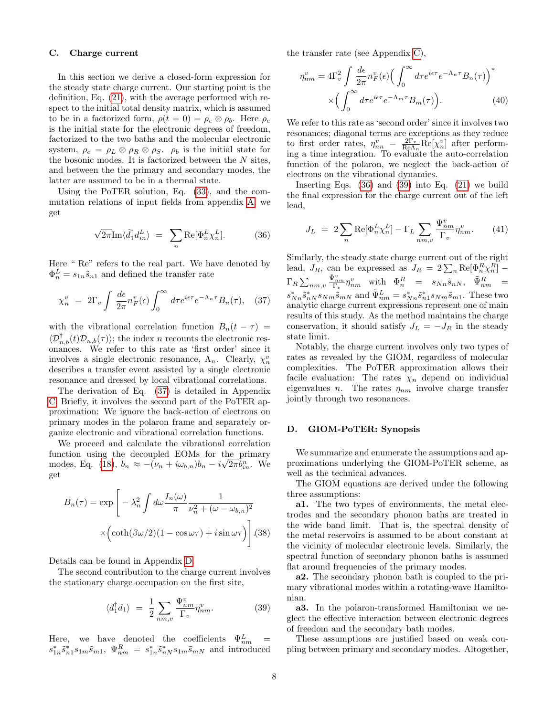### <span id="page-7-0"></span>C. Charge current

In this section we derive a closed-form expression for the steady state charge current. Our starting point is the definition, Eq. [\(21\)](#page-4-2), with the average performed with respect to the initial total density matrix, which is assumed to be in a factorized form,  $\rho(t=0) = \rho_e \otimes \rho_b$ . Here  $\rho_e$ is the initial state for the electronic degrees of freedom, factorized to the two baths and the molecular electronic system,  $\rho_e = \rho_L \otimes \rho_R \otimes \rho_S$ .  $\rho_b$  is the initial state for the bosonic modes. It is factorized between the  $N$  sites, and between the the primary and secondary modes, the latter are assumed to be in a thermal state.

Using the PoTER solution, Eq. [\(33\)](#page-6-2), and the commutation relations of input fields from appendix [A,](#page-18-0) we get

<span id="page-7-2"></span>
$$
\sqrt{2\pi} \text{Im}\langle \tilde{d}_1^{\dagger} d_{in}^L \rangle = \sum_n \text{Re}[\Phi_n^L \chi_n^L]. \tag{36}
$$

Here " Re" refers to the real part. We have denoted by  $\Phi_n^L = s_{1n} \tilde{s}_{n1}$  and defined the transfer rate

<span id="page-7-1"></span>
$$
\chi_n^v = 2\Gamma_v \int \frac{d\epsilon}{2\pi} n_F^v(\epsilon) \int_0^\infty d\tau e^{i\epsilon\tau} e^{-\Lambda_n \tau} B_n(\tau), \quad (37)
$$

with the vibrational correlation function  $B_n(t - \tau)$  =  $\langle \mathcal{D}_{n,b}^{\dagger}(t)\mathcal{D}_{n,b}(\tau)\rangle$ ; the index n recounts the electronic resonances. We refer to this rate as 'first order' since it involves a single electronic resonance,  $\Lambda_n$ . Clearly,  $\chi_n^v$ describes a transfer event assisted by a single electronic resonance and dressed by local vibrational correlations.

The derivation of Eq. [\(37\)](#page-7-1) is detailed in Appendix [C.](#page-18-2) Briefly, it involves the second part of the PoTER approximation: We ignore the back-action of electrons on primary modes in the polaron frame and separately organize electronic and vibrational correlation functions.

We proceed and calculate the vibrational correlation function using the decoupled EOMs for the primary modes, Eq. [\(18\)](#page-4-1),  $\dot{b}_n \approx -(\nu_n + i\omega_{b,n})b_n - i\sqrt{2\pi}\dot{b}_{in}^n$ . We get

<span id="page-7-6"></span>
$$
B_n(\tau) = \exp\left[-\lambda_n^2 \int d\omega \frac{I_n(\omega)}{\pi} \frac{1}{\nu_n^2 + (\omega - \omega_{b,n})^2} \times \left(\coth(\beta \omega/2)(1 - \cos \omega \tau) + i \sin \omega \tau\right)\right].{(38)}
$$

Details can be found in Appendix [D.](#page-19-0)

The second contribution to the charge current involves the stationary charge occupation on the first site,

<span id="page-7-3"></span>
$$
\langle d_1^{\dagger} d_1 \rangle = \frac{1}{2} \sum_{nm,v} \frac{\Psi_{nm}^v}{\Gamma_v} \eta_{nm}^v.
$$
 (39)

Here, we have denoted the coefficients  $\Psi_{nm}^L =$  $s_{1n}^* \tilde{s}_{n1}^* s_{1m} \tilde{s}_{mn}$ ,  $\Psi_{nm}^R = s_{1n}^* \tilde{s}_{nN}^* s_{1m} \tilde{s}_{mN}$  and introduced the transfer rate (see Appendix [C\)](#page-18-2),

<span id="page-7-5"></span>
$$
\eta_{nm}^{v} = 4\Gamma_v^2 \int \frac{d\epsilon}{2\pi} n_F^v(\epsilon) \Big(\int_0^\infty d\tau e^{i\epsilon\tau} e^{-\Lambda_n \tau} B_n(\tau)\Big)^*
$$

$$
\times \Big(\int_0^\infty d\tau e^{i\epsilon\tau} e^{-\Lambda_m \tau} B_m(\tau)\Big). \tag{40}
$$

We refer to this rate as 'second order' since it involves two resonances; diagonal terms are exceptions as they reduce to first order rates,  $\eta_{nn}^v = \frac{2\Gamma_v}{\text{Re}\Lambda_n} \text{Re}[\chi_n^v]$  after performing a time integration. To evaluate the auto-correlation function of the polaron, we neglect the back-action of electrons on the vibrational dynamics.

Inserting Eqs. [\(36\)](#page-7-2) and [\(39\)](#page-7-3) into Eq. [\(21\)](#page-4-2) we build the final expression for the charge current out of the left lead,

<span id="page-7-4"></span>
$$
J_L = 2\sum_{n} \text{Re}[\Phi_n^L \chi_n^L] - \Gamma_L \sum_{nm,v} \frac{\Psi_{nm}^v}{\Gamma_v} \eta_{nm}^v.
$$
 (41)

Similarly, the steady state charge current out of the right lead,  $J_R$ , can be expressed as  $J_R = 2\sum_n \text{Re}[\Phi_n^R \chi_n^R]$  –  $\Gamma_R \sum_{nm,v}$  $\frac{\tilde{\Psi}^v_{nm}}{\Gamma_v}\eta^v_{nm}$  with  $\Phi^R_n = s_{Nn}\tilde{s}_{nN}, \quad \tilde{\Psi}^R_{nm} =$  $s_{Nn}^* \tilde{s}_{nN}^* s_{Nm} \tilde{s}_{mN}$  and  $\tilde{\Psi}_{nm}^L = s_{Nn}^* \tilde{s}_{n1}^* s_{Nm} \tilde{s}_{m1}$ . These two analytic charge current expressions represent one of main results of this study. As the method maintains the charge conservation, it should satisfy  $J_L = -J_R$  in the steady state limit.

Notably, the charge current involves only two types of rates as revealed by the GIOM, regardless of molecular complexities. The PoTER approximation allows their facile evaluation: The rates  $\chi_n$  depend on individual eigenvalues *n*. The rates  $\eta_{nm}$  involve charge transfer jointly through two resonances.

#### D. GIOM-PoTER: Synopsis

We summarize and enumerate the assumptions and approximations underlying the GIOM-PoTER scheme, as well as the technical advances.

The GIOM equations are derived under the following three assumptions:

a1. The two types of environments, the metal electrodes and the secondary phonon baths are treated in the wide band limit. That is, the spectral density of the metal reservoirs is assumed to be about constant at the vicinity of molecular electronic levels. Similarly, the spectral function of secondary phonon baths is assumed flat around frequencies of the primary modes.

a2. The secondary phonon bath is coupled to the primary vibrational modes within a rotating-wave Hamiltonian.

a3. In the polaron-transformed Hamiltonian we neglect the effective interaction between electronic degrees of freedom and the secondary bath modes.

These assumptions are justified based on weak coupling between primary and secondary modes. Altogether,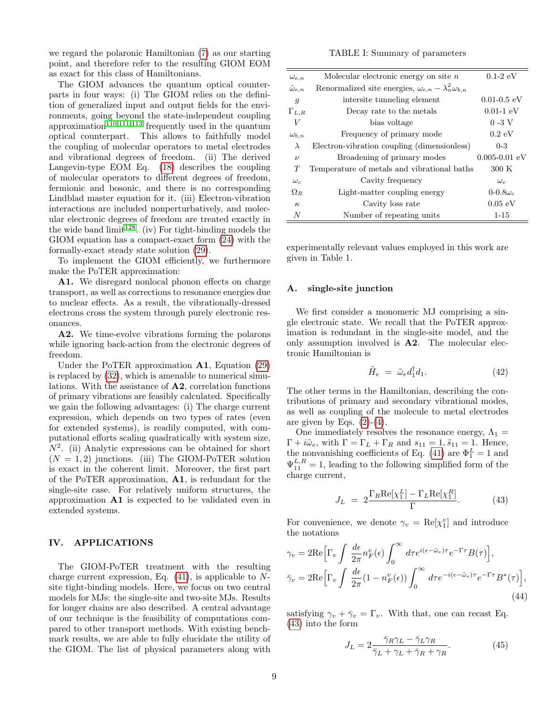we regard the polaronic Hamiltonian [\(7\)](#page-2-3) as our starting point, and therefore refer to the resulting GIOM EOM as exact for this class of Hamiltonians.

The GIOM advances the quantum optical counterparts in four ways: (i) The GIOM relies on the definition of generalized input and output fields for the environments, going beyond the state-independent coupling approximation<sup>[110](#page-23-5)[,111](#page-23-7)[,113](#page-23-8)</sup> frequently used in the quantum optical counterpart. This allows to faithfully model the coupling of molecular operators to metal electrodes and vibrational degrees of freedom. (ii) The derived Langevin-type EOM Eq. [\(18\)](#page-4-1) describes the coupling of molecular operators to different degrees of freedom, fermionic and bosonic, and there is no corresponding Lindblad master equation for it. (iii) Electron-vibration interactions are included nonperturbatively, and molecular electronic degrees of freedom are treated exactly in the wide band limit<sup>[128](#page-23-15)</sup>. (iv) For tight-binding models the GIOM equation has a compact-exact form [\(24\)](#page-5-0) with the formally-exact steady state solution [\(29\)](#page-5-1).

To implement the GIOM efficiently, we furthermore make the PoTER approximation:

A1. We disregard nonlocal phonon effects on charge transport, as well as corrections to resonance energies due to nuclear effects. As a result, the vibrationally-dressed electrons cross the system through purely electronic resonances.

A2. We time-evolve vibrations forming the polarons while ignoring back-action from the electronic degrees of freedom.

Under the PoTER approximation A1, Equation [\(29\)](#page-5-1) is replaced by [\(32\)](#page-6-0), which is amenable to numerical simulations. With the assistance of A2, correlation functions of primary vibrations are feasibly calculated. Specifically we gain the following advantages: (i) The charge current expression, which depends on two types of rates (even for extended systems), is readily computed, with computational efforts scaling quadratically with system size,  $N^2$ . (ii) Analytic expressions can be obtained for short  $(N = 1, 2)$  junctions. (iii) The GIOM-PoTER solution is exact in the coherent limit. Moreover, the first part of the PoTER approximation, A1, is redundant for the single-site case. For relatively uniform structures, the approximation A1 is expected to be validated even in extended systems.

## <span id="page-8-0"></span>IV. APPLICATIONS

The GIOM-PoTER treatment with the resulting charge current expression, Eq.  $(41)$ , is applicable to Nsite tight-binding models. Here, we focus on two central models for MJs: the single-site and two-site MJs. Results for longer chains are also described. A central advantage of our technique is the feasibility of computations compared to other transport methods. With existing benchmark results, we are able to fully elucidate the utility of the GIOM. The list of physical parameters along with

TABLE I: Summary of parameters

| $\omega_{e,n}$         | Molecular electronic energy on site $n$                               | $0.1-2$ eV                      |
|------------------------|-----------------------------------------------------------------------|---------------------------------|
| $\tilde{\omega}_{e,n}$ | Renormalized site energies, $\omega_{e,n} - \lambda_n^2 \omega_{b,n}$ |                                 |
| $\mathfrak{g}$         | intersite tunneling element                                           | $0.01 - 0.5$ eV                 |
| $\Gamma_{L,R}$         | Decay rate to the metals                                              | $0.01 - 1$ eV                   |
| V                      | bias voltage                                                          | $0 - 3$ V                       |
| $\omega_{b,n}$         | Frequency of primary mode                                             | $0.2 \text{ eV}$                |
| $\lambda$              | Electron-vibration coupling (dimensionless)                           | $0 - 3$                         |
| $\boldsymbol{\nu}$     | Broadening of primary modes                                           | $0.005 - 0.01$ eV               |
| T                      | Temperature of metals and vibrational baths                           | 300 K                           |
| $\omega_c$             | Cavity frequency                                                      | $\omega_{\scriptscriptstyle P}$ |
| $\Omega_R$             | Light-matter coupling energy                                          | 0-0.8 $\omega_c$                |
| $\kappa$               | Cavity loss rate                                                      | 0.05 eV                         |
| N                      | Number of repeating units                                             | $1 - 15$                        |

experimentally relevant values employed in this work are given in Table 1.

# <span id="page-8-2"></span>A. single-site junction

We first consider a monomeric MJ comprising a single electronic state. We recall that the PoTER approximation is redundant in the single-site model, and the only assumption involved is A2. The molecular electronic Hamiltonian is

$$
\tilde{H}_e = \tilde{\omega}_e d_1^\dagger d_1. \tag{42}
$$

The other terms in the Hamiltonian, describing the contributions of primary and secondary vibrational modes, as well as coupling of the molecule to metal electrodes are given by Eqs.  $(2)-(4)$  $(2)-(4)$ .

One immediately resolves the resonance energy,  $\Lambda_1 =$  $\Gamma + i\tilde{\omega}_e$ , with  $\Gamma = \Gamma_L + \Gamma_R$  and  $s_{11} = 1$ ,  $\tilde{s}_{11} = 1$ . Hence, the nonvanishing coefficients of Eq. [\(41\)](#page-7-4) are  $\Phi_1^L = 1$  and  $\Psi_{11}^{L,R} = 1$ , leading to the following simplified form of the charge current,

<span id="page-8-1"></span>
$$
J_L = 2 \frac{\Gamma_R \text{Re}[\chi_1^L] - \Gamma_L \text{Re}[\chi_1^R]}{\Gamma}.
$$
 (43)

For convenience, we denote  $\gamma_v = \text{Re}[\chi_1^v]$  and introduce the notations

<span id="page-8-3"></span>
$$
\gamma_v = 2\text{Re}\Big[\Gamma_v \int \frac{d\epsilon}{2\pi} n_F^v(\epsilon) \int_0^\infty d\tau e^{i(\epsilon - \tilde{\omega}_e)\tau} e^{-\Gamma \tau} B(\tau) \Big],
$$
  

$$
\bar{\gamma}_v = 2\text{Re}\Big[\Gamma_v \int \frac{d\epsilon}{2\pi} (1 - n_F^v(\epsilon)) \int_0^\infty d\tau e^{-i(\epsilon - \tilde{\omega}_e)\tau} e^{-\Gamma \tau} B^*(\tau) \Big],
$$
(44)

satisfying  $\gamma_v + \bar{\gamma}_v = \Gamma_v$ . With that, one can recast Eq. [\(43\)](#page-8-1) into the form

$$
J_L = 2 \frac{\bar{\gamma}_R \gamma_L - \bar{\gamma}_L \gamma_R}{\bar{\gamma}_L + \gamma_L + \bar{\gamma}_R + \gamma_R}.
$$
 (45)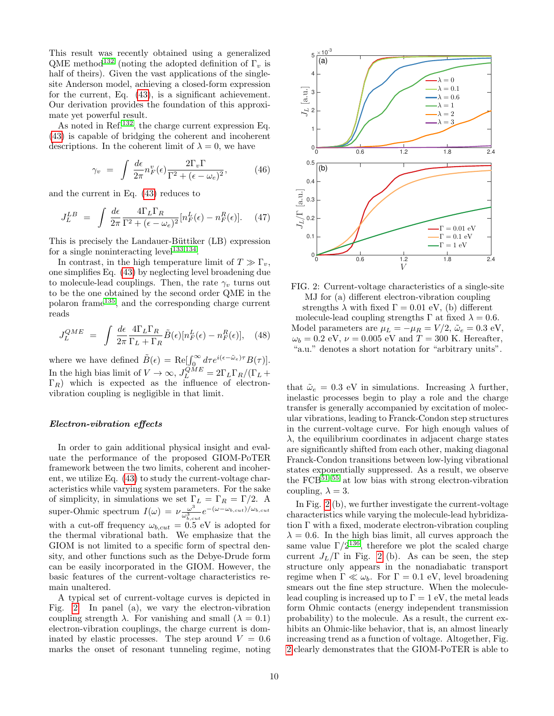This result was recently obtained using a generalized QME method<sup>[132](#page-23-19)</sup> (noting the adopted definition of  $\Gamma_v$  is half of theirs). Given the vast applications of the singlesite Anderson model, achieving a closed-form expression for the current, Eq. [\(43\)](#page-8-1), is a significant achievement. Our derivation provides the foundation of this approximate yet powerful result.

As noted in Ref.[132](#page-23-19), the charge current expression Eq. [\(43\)](#page-8-1) is capable of bridging the coherent and incoherent descriptions. In the coherent limit of  $\lambda = 0$ , we have

$$
\gamma_v = \int \frac{d\epsilon}{2\pi} n_F^v(\epsilon) \frac{2\Gamma_v \Gamma}{\Gamma^2 + (\epsilon - \omega_e)^2}, \tag{46}
$$

and the current in Eq. [\(43\)](#page-8-1) reduces to

$$
J_L^{LB} = \int \frac{d\epsilon}{2\pi} \frac{4\Gamma_L \Gamma_R}{\Gamma^2 + (\epsilon - \omega_e)^2} [n_F^L(\epsilon) - n_F^R(\epsilon)]. \quad (47)
$$

This is precisely the Landauer-Büttiker (LB) expression for a single noninteracting  $level^{133,134}$  $level^{133,134}$  $level^{133,134}$  $level^{133,134}$ .

In contrast, in the high temperature limit of  $T \gg \Gamma_v$ , one simplifies Eq. [\(43\)](#page-8-1) by neglecting level broadening due to molecule-lead couplings. Then, the rate  $\gamma_v$  turns out to be the one obtained by the second order QME in the polaron frame[135](#page-23-22), and the corresponding charge current reads

$$
J_L^{QME} = \int \frac{d\epsilon}{2\pi} \frac{4\Gamma_L \Gamma_R}{\Gamma_L + \Gamma_R} \tilde{B}(\epsilon) [n_F^L(\epsilon) - n_F^R(\epsilon)], \quad (48)
$$

where we have defined  $\tilde{B}(\epsilon) = \text{Re}[\int_{0}^{\infty} d\tau e^{i(\epsilon - \tilde{\omega}_e)\tau} B(\tau)].$ In the high bias limit of  $V \to \infty$ ,  $J_L^{QME} = 2\Gamma_L \Gamma_R / (\Gamma_L +$  $\Gamma_R$ ) which is expected as the influence of electronvibration coupling is negligible in that limit.

#### Electron-vibration effects

In order to gain additional physical insight and evaluate the performance of the proposed GIOM-PoTER framework between the two limits, coherent and incoherent, we utilize Eq. [\(43\)](#page-8-1) to study the current-voltage characteristics while varying system parameters. For the sake of simplicity, in simulations we set  $\Gamma_L = \Gamma_R = \Gamma/2$ . A super-Ohmic spectrum  $I(\omega) = \nu \frac{\omega^3}{\omega^3}$  $\frac{\omega^3}{\omega_{b,cut}^3}e^{-(\omega-\omega_{b,cut})/\omega_{b,cut}}$ with a cut-off frequency  $\omega_{b,cut} = 0.5$  eV is adopted for the thermal vibrational bath. We emphasize that the GIOM is not limited to a specific form of spectral density, and other functions such as the Debye-Drude form can be easily incorporated in the GIOM. However, the basic features of the current-voltage characteristics remain unaltered.

A typical set of current-voltage curves is depicted in Fig. [2.](#page-9-0) In panel (a), we vary the electron-vibration coupling strength  $\lambda$ . For vanishing and small  $(\lambda = 0.1)$ electron-vibration couplings, the charge current is dominated by elastic processes. The step around  $V = 0.6$ marks the onset of resonant tunneling regime, noting

<span id="page-9-0"></span>

FIG. 2: Current-voltage characteristics of a single-site MJ for (a) different electron-vibration coupling strengths  $\lambda$  with fixed  $\Gamma = 0.01$  eV, (b) different molecule-lead coupling strengths  $\Gamma$  at fixed  $\lambda = 0.6$ . Model parameters are  $\mu_L = -\mu_R = V/2$ ,  $\tilde{\omega}_e = 0.3$  eV,  $\omega_b = 0.2$  eV,  $\nu = 0.005$  eV and  $T = 300$  K. Hereafter, "a.u." denotes a short notation for "arbitrary units".

that  $\tilde{\omega}_e = 0.3$  eV in simulations. Increasing  $\lambda$  further, inelastic processes begin to play a role and the charge transfer is generally accompanied by excitation of molecular vibrations, leading to Franck-Condon step structures in the current-voltage curve. For high enough values of  $\lambda$ , the equilibrium coordinates in adjacent charge states are significantly shifted from each other, making diagonal Franck-Condon transitions between low-lying vibrational states exponentially suppressed. As a result, we observe the  $FCB^{51-55}$  $FCB^{51-55}$  $FCB^{51-55}$  at low bias with strong electron-vibration coupling,  $\lambda = 3$ .

In Fig. [2](#page-9-0) (b), we further investigate the current-voltage characteristics while varying the molecule-lead hybridization Γ with a fixed, moderate electron-vibration coupling  $\lambda = 0.6$ . In the high bias limit, all curves approach the same value  $\Gamma/2^{136}$  $\Gamma/2^{136}$  $\Gamma/2^{136}$ , therefore we plot the scaled charge current  $J_L/\Gamma$  in Fig. [2](#page-9-0) (b). As can be seen, the step structure only appears in the nonadiabatic transport regime when  $\Gamma \ll \omega_b$ . For  $\Gamma = 0.1$  eV, level broadening smears out the fine step structure. When the moleculelead coupling is increased up to  $\Gamma = 1$  eV, the metal leads form Ohmic contacts (energy independent transmission probability) to the molecule. As a result, the current exhibits an Ohmic-like behavior, that is, an almost linearly increasing trend as a function of voltage. Altogether, Fig. [2](#page-9-0) clearly demonstrates that the GIOM-PoTER is able to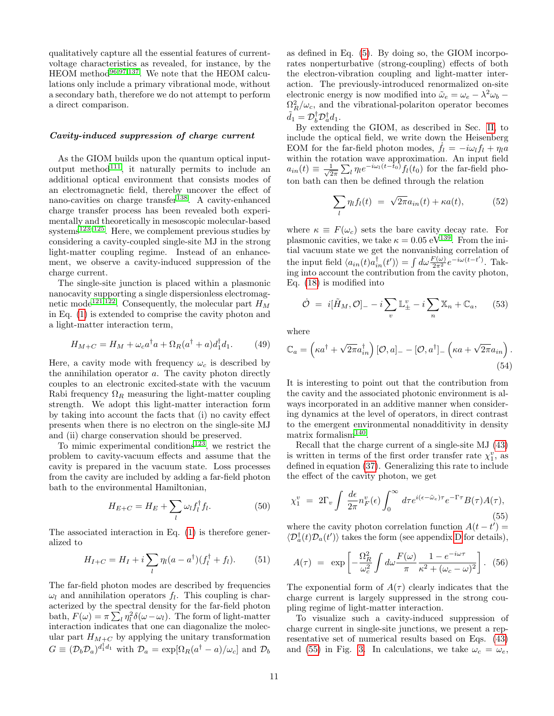qualitatively capture all the essential features of currentvoltage characteristics as revealed, for instance, by the HEOM method<sup>[96,](#page-22-27)[97](#page-22-28)[,137](#page-23-24)</sup>. We note that the HEOM calculations only include a primary vibrational mode, without a secondary bath, therefore we do not attempt to perform a direct comparison.

#### Cavity-induced suppression of charge current

As the GIOM builds upon the quantum optical input-output method<sup>[111](#page-23-7)</sup>, it naturally permits to include an additional optical environment that consists modes of an electromagnetic field, thereby uncover the effect of nano-cavities on charge transfer<sup>[138](#page-23-25)</sup>. A cavity-enhanced charge transfer process has been revealed both experimentally and theoretically in mesoscopic molecular-based systems<sup>[123–](#page-23-11)[125](#page-23-12)</sup>. Here, we complement previous studies by considering a cavity-coupled single-site MJ in the strong light-matter coupling regime. Instead of an enhancement, we observe a cavity-induced suppression of the charge current.

The single-site junction is placed within a plasmonic nanocavity supporting a single dispersionless electromag-netic mode<sup>[121](#page-23-9)[,122](#page-23-10)</sup>. Consequently, the molecular part  $H_M$ in Eq. [\(1\)](#page-2-6) is extended to comprise the cavity photon and a light-matter interaction term,

$$
H_{M+C} = H_M + \omega_c a^\dagger a + \Omega_R (a^\dagger + a) d_1^\dagger d_1. \tag{49}
$$

Here, a cavity mode with frequency  $\omega_c$  is described by the annihilation operator a. The cavity photon directly couples to an electronic excited-state with the vacuum Rabi frequency  $\Omega_R$  measuring the light-matter coupling strength. We adopt this light-matter interaction form by taking into account the facts that (i) no cavity effect presents when there is no electron on the single-site MJ and (ii) charge conservation should be preserved.

To mimic experimental conditions<sup>[123](#page-23-11)</sup>, we restrict the problem to cavity-vacuum effects and assume that the cavity is prepared in the vacuum state. Loss processes from the cavity are included by adding a far-field photon bath to the environmental Hamiltonian,

$$
H_{E+C} = H_E + \sum_l \omega_l f_l^{\dagger} f_l. \tag{50}
$$

The associated interaction in Eq. [\(1\)](#page-2-6) is therefore generalized to

$$
H_{I+C} = H_I + i \sum_{l} \eta_l (a - a^{\dagger}) (f_l^{\dagger} + f_l). \tag{51}
$$

The far-field photon modes are described by frequencies  $\omega_l$  and annihilation operators  $f_l$ . This coupling is characterized by the spectral density for the far-field photon bath,  $F(\omega) = \pi \sum_l \eta_l^2 \delta(\omega - \omega_l)$ . The form of light-matter interaction indicates that one can diagonalize the molecular part  $H_{M+C}$  by applying the unitary transformation  $G \equiv (\mathcal{D}_b \mathcal{D}_a)^{d_1^{\dagger} d_1}$  with  $\mathcal{D}_a = \exp[\Omega_R(a^{\dagger} - a)/\omega_c]$  and  $\mathcal{D}_b$ 

as defined in Eq. [\(5\)](#page-2-7). By doing so, the GIOM incorporates nonperturbative (strong-coupling) effects of both the electron-vibration coupling and light-matter interaction. The previously-introduced renormalized on-site electronic energy is now modified into  $\tilde{\omega}_e = \omega_e - \lambda^2 \omega_b$  $\Omega_R^2/\omega_c$ , and the vibrational-polariton operator becomes  $\tilde{d}_1 = \mathcal{D}_b^{\dagger} \mathcal{D}_a^{\dagger} d_1.$ 

By extending the GIOM, as described in Sec. [II,](#page-2-1) to include the optical field, we write down the Heisenberg EOM for the far-field photon modes,  $\dot{f}_l = -i\omega_l f_l + \eta_l a$ within the rotation wave approximation. An input field  $a_{in}(t) \equiv \frac{1}{\sqrt{2}}$  $\frac{1}{2\pi} \sum_{l} \eta_{l} e^{-i\omega_{l}(t-t_{0})} f_{l}(t_{0})$  for the far-field photon bath can then be defined through the relation

$$
\sum_{l} \eta_l f_l(t) = \sqrt{2\pi} a_{in}(t) + \kappa a(t), \tag{52}
$$

where  $\kappa \equiv F(\omega_c)$  sets the bare cavity decay rate. For plasmonic cavities, we take  $\kappa = 0.05 \text{ eV}^{139}$  $\kappa = 0.05 \text{ eV}^{139}$  $\kappa = 0.05 \text{ eV}^{139}$ . From the initial vacuum state we get the nonvanishing correlation of the input field  $\langle a_{in}(t) a_{in}^{\dagger}(t') \rangle = \int d\omega \frac{F(\omega)}{2\pi^2} e^{-i\omega(t-t')}$ . Taking into account the contribution from the cavity photon, Eq. [\(18\)](#page-4-1) is modified into

$$
\dot{\mathcal{O}} = i[\tilde{H}_M, \mathcal{O}] - i \sum_v \mathbb{L}^v_{\pm} - i \sum_n \mathbb{X}_n + \mathbb{C}_a, \qquad (53)
$$

where

$$
\mathbb{C}_a = \left(\kappa a^\dagger + \sqrt{2\pi} a_{in}^\dagger\right) [\mathcal{O}, a]_ - - [\mathcal{O}, a^\dagger]_ - \left(\kappa a + \sqrt{2\pi} a_{in}\right).
$$
\n(54)

It is interesting to point out that the contribution from the cavity and the associated photonic environment is always incorporated in an additive manner when considering dynamics at the level of operators, in direct contrast to the emergent environmental nonadditivity in density matrix formalism<sup>[140](#page-23-27)</sup>.

Recall that the charge current of a single-site MJ [\(43\)](#page-8-1) is written in terms of the first order transfer rate  $\chi_1^v$ , as defined in equation [\(37\)](#page-7-1). Generalizing this rate to include the effect of the cavity photon, we get

<span id="page-10-0"></span>
$$
\chi_1^v = 2\Gamma_v \int \frac{d\epsilon}{2\pi} n_F^v(\epsilon) \int_0^\infty d\tau e^{i(\epsilon - \tilde{\omega}_e)\tau} e^{-\Gamma \tau} B(\tau) A(\tau), \tag{55}
$$

where the cavity photon correlation function  $A(t-t') =$  $\langle \mathcal{D}_a^{\dagger}(t) \mathcal{D}_a(t') \rangle$  takes the form (see appendix [D](#page-19-0) for details),

$$
A(\tau) = \exp\left[-\frac{\Omega_R^2}{\omega_c^2} \int d\omega \frac{F(\omega)}{\pi} \frac{1 - e^{-i\omega \tau}}{\kappa^2 + (\omega_c - \omega)^2}\right]. \tag{56}
$$

The exponential form of  $A(\tau)$  clearly indicates that the charge current is largely suppressed in the strong coupling regime of light-matter interaction.

To visualize such a cavity-induced suppression of charge current in single-site junctions, we present a representative set of numerical results based on Eqs. [\(43\)](#page-8-1) and [\(55\)](#page-10-0) in Fig. [3.](#page-11-0) In calculations, we take  $\omega_c = \omega_e$ ,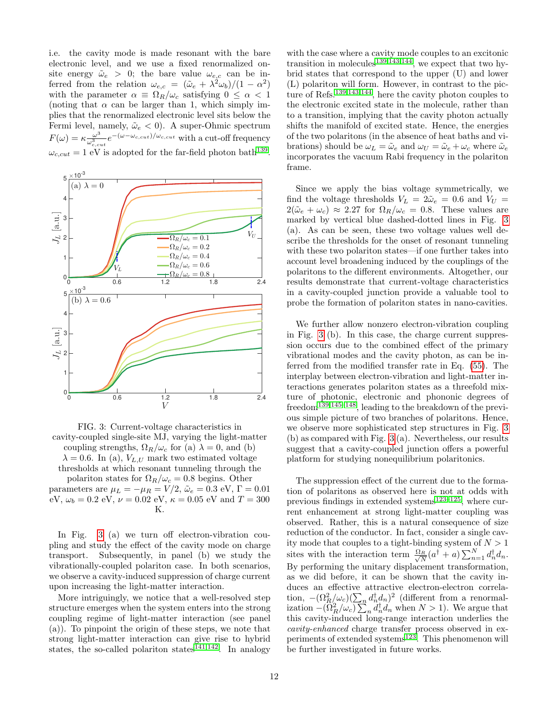i.e. the cavity mode is made resonant with the bare electronic level, and we use a fixed renormalized onsite energy  $\tilde{\omega}_e > 0$ ; the bare value  $\omega_{e,c}$  can be inferred from the relation  $\omega_{e,c} = (\tilde{\omega}_e + \lambda^2 \omega_b)/(1 - \alpha^2)$ with the parameter  $\alpha \equiv \Omega_R/\omega_c$  satisfying  $0 \leq \alpha < 1$ (noting that  $\alpha$  can be larger than 1, which simply implies that the renormalized electronic level sits below the Fermi level, namely,  $\tilde{\omega}_e < 0$ ). A super-Ohmic spectrum  $F(\omega) = \kappa \frac{\omega^3}{\omega^3}$  $\frac{\omega^3}{\omega_{c,cut}^3}e^{-(\omega-\omega_{c,cut})/\omega_{c,cut}}$  with a cut-off frequency  $\omega_{c,cut} = 1$  eV is adopted for the far-field photon bath<sup>[139](#page-23-26)</sup>.

<span id="page-11-0"></span>

FIG. 3: Current-voltage characteristics in cavity-coupled single-site MJ, varying the light-matter coupling strengths,  $\Omega_R/\omega_c$  for (a)  $\lambda = 0$ , and (b)  $\lambda = 0.6$ . In (a),  $V_{L,U}$  mark two estimated voltage thresholds at which resonant tunneling through the polariton states for  $\Omega_R/\omega_c = 0.8$  begins. Other parameters are  $\mu_L = -\mu_R = V/2$ ,  $\tilde{\omega}_e = 0.3$  eV,  $\Gamma = 0.01$ eV,  $\omega_b = 0.2$  eV,  $\nu = 0.02$  eV,  $\kappa = 0.05$  eV and  $T = 300$ K.

In Fig. [3](#page-11-0) (a) we turn off electron-vibration coupling and study the effect of the cavity mode on charge transport. Subsequently, in panel (b) we study the vibrationally-coupled polariton case. In both scenarios, we observe a cavity-induced suppression of charge current upon increasing the light-matter interaction.

More intriguingly, we notice that a well-resolved step structure emerges when the system enters into the strong coupling regime of light-matter interaction (see panel (a)). To pinpoint the origin of these steps, we note that strong light-matter interaction can give rise to hybrid states, the so-called polariton states<sup>[141](#page-23-28)[,142](#page-23-29)</sup>. In analogy

with the case where a cavity mode couples to an excitonic transition in molecules<sup>[139,](#page-23-26)[143](#page-23-30)[,144](#page-23-31)</sup>, we expect that two hybrid states that correspond to the upper (U) and lower (L) polariton will form. However, in contrast to the picture of Refs.[139](#page-23-26)[,143,](#page-23-30)[144](#page-23-31), here the cavity photon couples to the electronic excited state in the molecule, rather than to a transition, implying that the cavity photon actually shifts the manifold of excited state. Hence, the energies of the two polaritons (in the absence of heat baths and vibrations) should be  $\omega_L = \tilde{\omega}_e$  and  $\omega_U = \tilde{\omega}_e + \omega_c$  where  $\tilde{\omega}_e$ incorporates the vacuum Rabi frequency in the polariton frame.

Since we apply the bias voltage symmetrically, we find the voltage thresholds  $V_L = 2\tilde{\omega}_e = 0.6$  and  $V_U =$  $2(\tilde{\omega}_e + \omega_c) \approx 2.27$  for  $\Omega_R/\omega_c = 0.8$ . These values are marked by vertical blue dashed-dotted lines in Fig. [3](#page-11-0) (a). As can be seen, these two voltage values well describe the thresholds for the onset of resonant tunneling with these two polariton states—if one further takes into account level broadening induced by the couplings of the polaritons to the different environments. Altogether, our results demonstrate that current-voltage characteristics in a cavity-coupled junction provide a valuable tool to probe the formation of polariton states in nano-cavities.

We further allow nonzero electron-vibration coupling in Fig. [3](#page-11-0) (b). In this case, the charge current suppression occurs due to the combined effect of the primary vibrational modes and the cavity photon, as can be inferred from the modified transfer rate in Eq. [\(55\)](#page-10-0). The interplay between electron-vibration and light-matter interactions generates polariton states as a threefold mixture of photonic, electronic and phononic degrees of freedom<sup>[139,](#page-23-26)[145–](#page-23-32)[148](#page-23-33)</sup>, leading to the breakdown of the previous simple picture of two branches of polaritons. Hence, we observe more sophisticated step structures in Fig. [3](#page-11-0) (b) as compared with Fig. [3](#page-11-0) (a). Nevertheless, our results suggest that a cavity-coupled junction offers a powerful platform for studying nonequilibrium polaritonics.

The suppression effect of the current due to the formation of polaritons as observed here is not at odds with previous findings in extended systems $123-125$  $123-125$ , where current enhancement at strong light-matter coupling was observed. Rather, this is a natural consequence of size reduction of the conductor. In fact, consider a single cavity mode that couples to a tight-binding system of  $N > 1$ sites with the interaction term  $\frac{\Omega_R}{\sqrt{N}}$  $\frac{R}{N}(a^{\dagger}+a)\sum_{n=1}^{N}d_{n}^{\dagger}d_{n}.$ By performing the unitary displacement transformation, as we did before, it can be shown that the cavity induces an effective attractive electron-electron correlation,  $-(\Omega_R^2/\omega_c)(\sum_n d_n^{\dagger} d_n)^2$  (different from a renormalization  $-(\Omega_R^2/\omega_c)\sum_n d_n^{\dagger} d_n$  when  $N>1$ ). We argue that this cavity-induced long-range interaction underlies the cavity-enhanced charge transfer process observed in ex-periments of extended systems<sup>[123](#page-23-11)</sup>. This phenomenon will be further investigated in future works.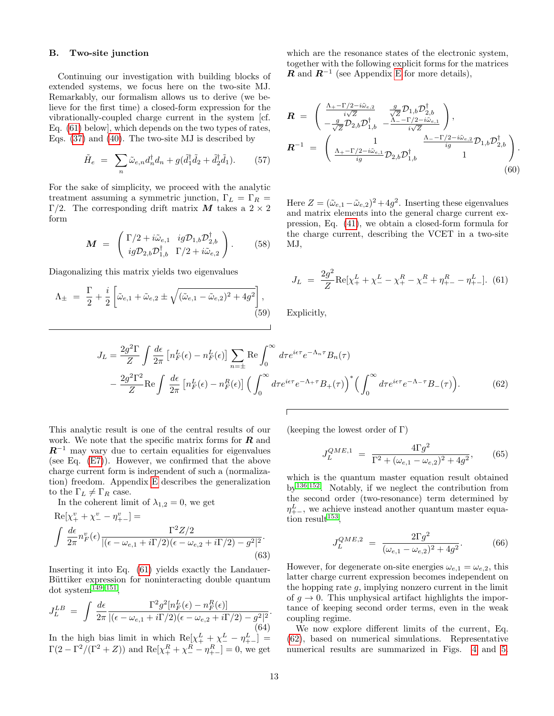## B. Two-site junction

Continuing our investigation with building blocks of extended systems, we focus here on the two-site MJ. Remarkably, our formalism allows us to derive (we believe for the first time) a closed-form expression for the vibrationally-coupled charge current in the system [cf. Eq. [\(61\)](#page-12-0) below], which depends on the two types of rates, Eqs. [\(37\)](#page-7-1) and [\(40\)](#page-7-5). The two-site MJ is described by

$$
\tilde{H}_e = \sum_n \tilde{\omega}_{e,n} d_n^{\dagger} d_n + g(\tilde{d}_1^{\dagger} \tilde{d}_2 + \tilde{d}_2^{\dagger} \tilde{d}_1). \tag{57}
$$

For the sake of simplicity, we proceed with the analytic treatment assuming a symmetric junction,  $\Gamma_L = \Gamma_R =$ Γ/2. The corresponding drift matrix M takes a  $2 \times 2$ form

<span id="page-12-3"></span>
$$
\mathbf{M} = \begin{pmatrix} \Gamma/2 + i\tilde{\omega}_{e,1} & ig\mathcal{D}_{1,b}\mathcal{D}_{2,b}^{\dagger} \\ ig\mathcal{D}_{2,b}\mathcal{D}_{1,b}^{\dagger} & \Gamma/2 + i\tilde{\omega}_{e,2} \end{pmatrix}.
$$
 (58)

Diagonalizing this matrix yields two eigenvalues

$$
\Lambda_{\pm} = \frac{\Gamma}{2} + \frac{i}{2} \left[ \tilde{\omega}_{e,1} + \tilde{\omega}_{e,2} \pm \sqrt{(\tilde{\omega}_{e,1} - \tilde{\omega}_{e,2})^2 + 4g^2} \right],
$$
\n(59)

which are the resonance states of the electronic system, together with the following explicit forms for the matrices **R** and  $\mathbb{R}^{-1}$  (see Appendix [E](#page-20-0) for more details),

$$
\mathbf{R} = \begin{pmatrix} \frac{\Lambda_{+} - \Gamma/2 - i\tilde{\omega}_{e,2}}{i\sqrt{Z}} & \frac{g}{\sqrt{Z}} \mathcal{D}_{1,b} \mathcal{D}_{2,b}^{\dagger} \\ -\frac{g}{\sqrt{Z}} \mathcal{D}_{2,b} \mathcal{D}_{1,b}^{\dagger} & -\frac{\Lambda_{-} - \Gamma/2 - i\tilde{\omega}_{e,1}}{i\sqrt{Z}} \end{pmatrix}, \n\mathbf{R}^{-1} = \begin{pmatrix} 1 & \frac{\Lambda_{-} - \Gamma/2 - i\tilde{\omega}_{e,2}}{ig} \mathcal{D}_{1,b} \mathcal{D}_{2,b}^{\dagger} \\ \frac{\Lambda_{+} - \Gamma/2 - i\tilde{\omega}_{e,1}}{ig} \mathcal{D}_{2,b} \mathcal{D}_{1,b}^{\dagger} & 1 \end{pmatrix}.
$$
\n(60)

Here  $Z = (\tilde{\omega}_{e,1} - \tilde{\omega}_{e,2})^2 + 4g^2$ . Inserting these eigenvalues and matrix elements into the general charge current expression, Eq. [\(41\)](#page-7-4), we obtain a closed-form formula for the charge current, describing the VCET in a two-site MJ,

<span id="page-12-0"></span>
$$
J_L = \frac{2g^2}{Z} \text{Re}[\chi_+^L + \chi_-^L - \chi_+^R - \chi_-^R + \eta_{+-}^R - \eta_{+-}^L].
$$
 (61)

Explicitly,

<span id="page-12-1"></span>
$$
J_L = \frac{2g^2 \Gamma}{Z} \int \frac{d\epsilon}{2\pi} \left[ n_F^L(\epsilon) - n_F^L(\epsilon) \right] \sum_{n=\pm} \text{Re} \int_0^\infty d\tau e^{i\epsilon \tau} e^{-\Lambda_n \tau} B_n(\tau)
$$

$$
- \frac{2g^2 \Gamma^2}{Z} \text{Re} \int \frac{d\epsilon}{2\pi} \left[ n_F^L(\epsilon) - n_F^R(\epsilon) \right] \left( \int_0^\infty d\tau e^{i\epsilon \tau} e^{-\Lambda + \tau} B_+(\tau) \right)^* \left( \int_0^\infty d\tau e^{i\epsilon \tau} e^{-\Lambda - \tau} B_-(\tau) \right). \tag{62}
$$

This analytic result is one of the central results of our work. We note that the specific matrix forms for  $R$  and  $R^{-1}$  may vary due to certain equalities for eigenvalues (see Eq. [\(E7\)](#page-20-1)). However, we confirmed that the above charge current form is independent of such a (normalization) freedom. Appendix [E](#page-20-0) describes the generalization to the  $\Gamma_L \neq \Gamma_R$  case.

In the coherent limit of  $\lambda_{1,2} = 0$ , we get

$$
\text{Re}[\chi_{+}^{v} + \chi_{-}^{v} - \eta_{+-}^{v}] =
$$
  

$$
\int \frac{d\epsilon}{2\pi} n_{F}^{v}(\epsilon) \frac{\Gamma^{2} Z/2}{|(\epsilon - \omega_{e,1} + i\Gamma/2)(\epsilon - \omega_{e,2} + i\Gamma/2) - g^{2}|^{2}}.
$$
  
(63)

Inserting it into Eq. [\(61\)](#page-12-0) yields exactly the Landauer-Büttiker expression for noninteracting double quantum dot system $149-151$  $149-151$ ,

$$
J_L^{LB} = \int \frac{d\epsilon}{2\pi} \frac{\Gamma^2 g^2 [n_F^L(\epsilon) - n_F^R(\epsilon)]}{|(\epsilon - \omega_{e,1} + i\Gamma/2)(\epsilon - \omega_{e,2} + i\Gamma/2) - g^2|^2}.
$$
\n(64)

\nIn the high-bics limit, in which  $\text{Bole}^{L} + \Delta^L = n^L$ .

In the high bias limit in which  $\text{Re}[\chi_+^L + \chi_-^L - \eta_{+-}^L] =$  $\Gamma(2 - \Gamma^2/(\Gamma^2 + Z))$  and  $\text{Re}[\chi_+^R + \chi_-^R - \eta_{+-}^R] = 0$ , we get (keeping the lowest order of  $\Gamma$ )

<span id="page-12-2"></span>
$$
J_L^{QME,1} = \frac{4\Gamma g^2}{\Gamma^2 + (\omega_{e,1} - \omega_{e,2})^2 + 4g^2},\qquad(65)
$$

which is the quantum master equation result obtained by[136](#page-23-23)[,152](#page-23-36). Notably, if we neglect the contribution from the second order (two-resonance) term determined by  $\eta^L_{+-}$ , we achieve instead another quantum master equa-tion result<sup>[153](#page-23-37)</sup>,

$$
J_L^{QME,2} = \frac{2\Gamma g^2}{(\omega_{e,1} - \omega_{e,2})^2 + 4g^2}.
$$
 (66)

However, for degenerate on-site energies  $\omega_{e,1} = \omega_{e,2}$ , this latter charge current expression becomes independent on the hopping rate  $g$ , implying nonzero current in the limit of  $g \to 0$ . This unphysical artifact highlights the importance of keeping second order terms, even in the weak coupling regime.

We now explore different limits of the current, Eq. [\(62\)](#page-12-1), based on numerical simulations. Representative numerical results are summarized in Figs. [4](#page-13-0) and [5.](#page-13-1)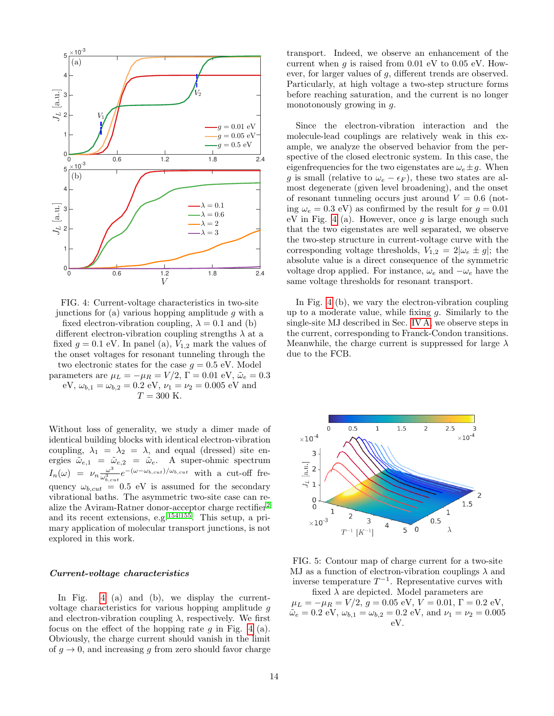<span id="page-13-0"></span>

FIG. 4: Current-voltage characteristics in two-site junctions for (a) various hopping amplitude  $g$  with a fixed electron-vibration coupling,  $\lambda = 0.1$  and (b) different electron-vibration coupling strengths  $\lambda$  at a fixed  $g = 0.1$  eV. In panel (a),  $V_{1,2}$  mark the values of the onset voltages for resonant tunneling through the two electronic states for the case  $q = 0.5$  eV. Model parameters are  $\mu_L = -\mu_R = V/2$ ,  $\Gamma = 0.01$  eV,  $\tilde{\omega}_e = 0.3$ eV,  $\omega_{b,1} = \omega_{b,2} = 0.2$  eV,  $\nu_1 = \nu_2 = 0.005$  eV and  $T = 300$  K.

Without loss of generality, we study a dimer made of identical building blocks with identical electron-vibration coupling,  $\lambda_1 = \lambda_2 = \lambda$ , and equal (dressed) site energies  $\tilde{\omega}_{e,1} = \tilde{\omega}_{e,2} = \tilde{\omega}_e$ . A super-ohmic spectrum  $I_n(\omega) = \nu_n \frac{\omega^3}{\omega^3}$  $\frac{\omega^3}{\omega_{b,cut}^3}e^{-(\omega-\omega_{b,cut})/\omega_{b,cut}}$  with a cut-off frequency  $\omega_{b,cut} = 0.5$  eV is assumed for the secondary vibrational baths. The asymmetric two-site case can realize the Aviram-Ratner donor-acceptor charge rectifier[2](#page-21-1) and its recent extensions, e.g.[154,](#page-24-0)[155](#page-24-1). This setup, a primary application of molecular transport junctions, is not explored in this work.

### Current-voltage characteristics

In Fig. [4](#page-13-0) (a) and (b), we display the currentvoltage characteristics for various hopping amplitude g and electron-vibration coupling  $\lambda$ , respectively. We first focus on the effect of the hopping rate  $g$  in Fig. [4](#page-13-0) (a). Obviously, the charge current should vanish in the limit of  $g \to 0$ , and increasing g from zero should favor charge

transport. Indeed, we observe an enhancement of the current when  $g$  is raised from 0.01 eV to 0.05 eV. However, for larger values of g, different trends are observed. Particularly, at high voltage a two-step structure forms before reaching saturation, and the current is no longer monotonously growing in g.

Since the electron-vibration interaction and the molecule-lead couplings are relatively weak in this example, we analyze the observed behavior from the perspective of the closed electronic system. In this case, the eigenfrequencies for the two eigenstates are  $\omega_e \pm g$ . When g is small (relative to  $\omega_e - \epsilon_F$ ), these two states are almost degenerate (given level broadening), and the onset of resonant tunneling occurs just around  $V = 0.6$  (noting  $\omega_e = 0.3$  eV) as confirmed by the result for  $g = 0.01$ eV in Fig. [4](#page-13-0) (a). However, once  $q$  is large enough such that the two eigenstates are well separated, we observe the two-step structure in current-voltage curve with the corresponding voltage thresholds,  $V_{1,2} = 2|\omega_e \pm g|$ ; the absolute value is a direct consequence of the symmetric voltage drop applied. For instance,  $\omega_e$  and  $-\omega_e$  have the same voltage thresholds for resonant transport.

In Fig. [4](#page-13-0) (b), we vary the electron-vibration coupling up to a moderate value, while fixing  $q$ . Similarly to the single-site MJ described in Sec. [IV A,](#page-8-2) we observe steps in the current, corresponding to Franck-Condon transitions. Meanwhile, the charge current is suppressed for large  $\lambda$ due to the FCB.

<span id="page-13-1"></span>



fixed  $\lambda$  are depicted. Model parameters are  $\mu_L = -\mu_R = V/2, g = 0.05$  eV,  $V = 0.01, \Gamma = 0.2$  eV,  $\tilde{\omega}_e = 0.2 \text{ eV}, \omega_{b,1} = \omega_{b,2} = 0.2 \text{ eV}, \text{ and } \nu_1 = \nu_2 = 0.005$ eV.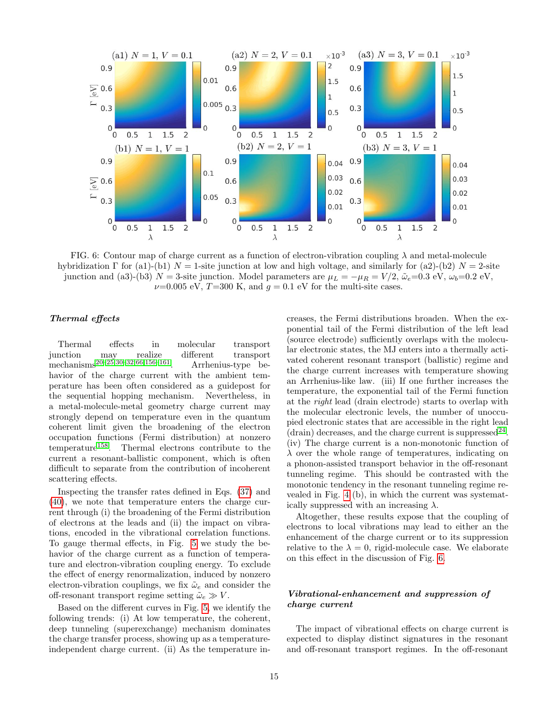<span id="page-14-0"></span>

FIG. 6: Contour map of charge current as a function of electron-vibration coupling  $\lambda$  and metal-molecule hybridization Γ for (a1)-(b1)  $N = 1$ -site junction at low and high voltage, and similarly for (a2)-(b2)  $N = 2$ -site junction and (a3)-(b3)  $N = 3$ -site junction. Model parameters are  $\mu_L = -\mu_R = V/2$ ,  $\tilde{\omega}_e = 0.3$  eV,  $\omega_b = 0.2$  eV,  $\nu$ =0.005 eV, T=300 K, and  $q = 0.1$  eV for the multi-site cases.

## Thermal effects

Thermal effects in molecular transport junction may realize different transport mechanisms[20–](#page-21-8)[25,](#page-21-14)[30–](#page-21-15)[32,](#page-21-16)[66](#page-22-12)[,156](#page-24-2)[–161](#page-24-3). Arrhenius-type behavior of the charge current with the ambient temperature has been often considered as a guidepost for the sequential hopping mechanism. Nevertheless, in a metal-molecule-metal geometry charge current may strongly depend on temperature even in the quantum coherent limit given the broadening of the electron occupation functions (Fermi distribution) at nonzero temperature<sup>[158](#page-24-4)</sup>. Thermal electrons contribute to the current a resonant-ballistic component, which is often difficult to separate from the contribution of incoherent scattering effects.

Inspecting the transfer rates defined in Eqs. [\(37\)](#page-7-1) and [\(40\)](#page-7-5), we note that temperature enters the charge current through (i) the broadening of the Fermi distribution of electrons at the leads and (ii) the impact on vibrations, encoded in the vibrational correlation functions. To gauge thermal effects, in Fig. [5](#page-13-1) we study the behavior of the charge current as a function of temperature and electron-vibration coupling energy. To exclude the effect of energy renormalization, induced by nonzero electron-vibration couplings, we fix  $\tilde{\omega}_e$  and consider the off-resonant transport regime setting  $\tilde{\omega}_e \gg V$ .

Based on the different curves in Fig. [5,](#page-13-1) we identify the following trends: (i) At low temperature, the coherent, deep tunneling (superexchange) mechanism dominates the charge transfer process, showing up as a temperatureindependent charge current. (ii) As the temperature increases, the Fermi distributions broaden. When the exponential tail of the Fermi distribution of the left lead (source electrode) sufficiently overlaps with the molecular electronic states, the MJ enters into a thermally activated coherent resonant transport (ballistic) regime and the charge current increases with temperature showing an Arrhenius-like law. (iii) If one further increases the temperature, the exponential tail of the Fermi function at the right lead (drain electrode) starts to overlap with the molecular electronic levels, the number of unoccupied electronic states that are accessible in the right lead  $(drain)$  decreases, and the charge current is suppressed<sup>[24](#page-21-17)</sup>. (iv) The charge current is a non-monotonic function of  $\lambda$  over the whole range of temperatures, indicating on a phonon-assisted transport behavior in the off-resonant tunneling regime. This should be contrasted with the monotonic tendency in the resonant tunneling regime revealed in Fig. [4](#page-13-0) (b), in which the current was systematically suppressed with an increasing  $\lambda$ .

Altogether, these results expose that the coupling of electrons to local vibrations may lead to either an the enhancement of the charge current or to its suppression relative to the  $\lambda = 0$ , rigid-molecule case. We elaborate on this effect in the discussion of Fig. [6.](#page-14-0)

## Vibrational-enhancement and suppression of charge current

The impact of vibrational effects on charge current is expected to display distinct signatures in the resonant and off-resonant transport regimes. In the off-resonant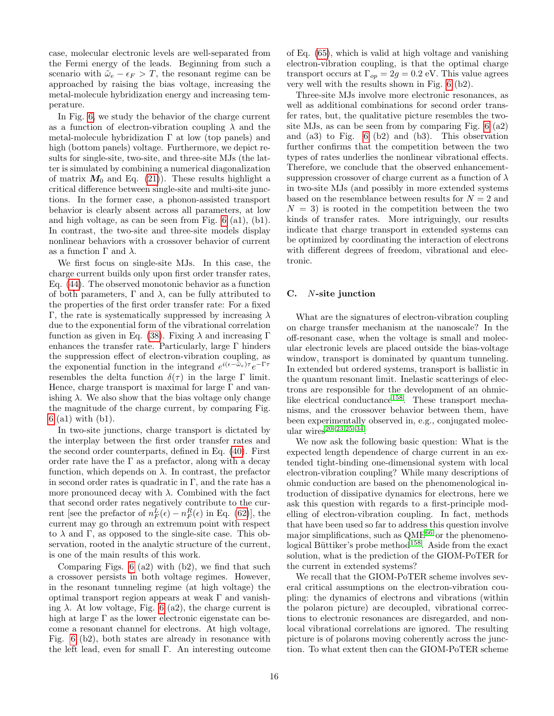case, molecular electronic levels are well-separated from the Fermi energy of the leads. Beginning from such a scenario with  $\tilde{\omega}_e - \epsilon_F > T$ , the resonant regime can be approached by raising the bias voltage, increasing the metal-molecule hybridization energy and increasing temperature.

In Fig. [6,](#page-14-0) we study the behavior of the charge current as a function of electron-vibration coupling  $\lambda$  and the metal-molecule hybridization  $\Gamma$  at low (top panels) and high (bottom panels) voltage. Furthermore, we depict results for single-site, two-site, and three-site MJs (the latter is simulated by combining a numerical diagonalization of matrix  $M_0$  and Eq. [\(21\)](#page-4-2)). These results highlight a critical difference between single-site and multi-site junctions. In the former case, a phonon-assisted transport behavior is clearly absent across all parameters, at low and high voltage, as can be seen from Fig. [6](#page-14-0) (a1), (b1). In contrast, the two-site and three-site models display nonlinear behaviors with a crossover behavior of current as a function  $\Gamma$  and  $\lambda$ .

We first focus on single-site MJs. In this case, the charge current builds only upon first order transfer rates, Eq. [\(44\)](#page-8-3). The observed monotonic behavior as a function of both parameters,  $\Gamma$  and  $\lambda$ , can be fully attributed to the properties of the first order transfer rate: For a fixed Γ, the rate is systematically suppressed by increasing  $λ$ due to the exponential form of the vibrational correlation function as given in Eq. [\(38\)](#page-7-6). Fixing  $\lambda$  and increasing  $\Gamma$ enhances the transfer rate. Particularly, large Γ hinders the suppression effect of electron-vibration coupling, as the exponential function in the integrand  $e^{i(\epsilon - \tilde{\omega}_e)\tau}e^{-\Gamma \tau}$ resembles the delta function  $\delta(\tau)$  in the large Γ limit. Hence, charge transport is maximal for large Γ and vanishing  $\lambda$ . We also show that the bias voltage only change the magnitude of the charge current, by comparing Fig. [6](#page-14-0) (a1) with (b1).

In two-site junctions, charge transport is dictated by the interplay between the first order transfer rates and the second order counterparts, defined in Eq. [\(40\)](#page-7-5). First order rate have the  $\Gamma$  as a prefactor, along with a decay function, which depends on  $\lambda$ . In contrast, the prefactor in second order rates is quadratic in  $\Gamma$ , and the rate has a more pronounced decay with  $\lambda$ . Combined with the fact that second order rates negatively contribute to the current [see the prefactor of  $n_F^L(\epsilon) - n_F^R(\epsilon)$  in Eq. [\(62\)](#page-12-1)], the current may go through an extremum point with respect to  $\lambda$  and  $\Gamma$ , as opposed to the single-site case. This observation, rooted in the analytic structure of the current, is one of the main results of this work.

Comparing Figs. [6](#page-14-0) (a2) with (b2), we find that such a crossover persists in both voltage regimes. However, in the resonant tunneling regime (at high voltage) the optimal transport region appears at weak  $\Gamma$  and vanishing  $\lambda$ . At low voltage, Fig. [6](#page-14-0) (a2), the charge current is high at large  $\Gamma$  as the lower electronic eigenstate can become a resonant channel for electrons. At high voltage, Fig. [6](#page-14-0) (b2), both states are already in resonance with the left lead, even for small Γ. An interesting outcome of Eq. [\(65\)](#page-12-2), which is valid at high voltage and vanishing electron-vibration coupling, is that the optimal charge transport occurs at  $\Gamma_{op} = 2g = 0.2$  eV. This value agrees very well with the results shown in Fig. [6](#page-14-0) (b2).

Three-site MJs involve more electronic resonances, as well as additional combinations for second order transfer rates, but, the qualitative picture resembles the twosite MJs, as can be seen from by comparing Fig. [6](#page-14-0) (a2) and (a3) to Fig. [6](#page-14-0) (b2) and (b3). This observation further confirms that the competition between the two types of rates underlies the nonlinear vibrational effects. Therefore, we conclude that the observed enhancementsuppression crossover of charge current as a function of  $\lambda$ in two-site MJs (and possibly in more extended systems based on the resemblance between results for  $N = 2$  and  $N = 3$ ) is rooted in the competition between the two kinds of transfer rates. More intriguingly, our results indicate that charge transport in extended systems can be optimized by coordinating the interaction of electrons with different degrees of freedom, vibrational and electronic.

## C. N-site junction

What are the signatures of electron-vibration coupling on charge transfer mechanism at the nanoscale? In the off-resonant case, when the voltage is small and molecular electronic levels are placed outside the bias-voltage window, transport is dominated by quantum tunneling. In extended but ordered systems, transport is ballistic in the quantum resonant limit. Inelastic scatterings of electrons are responsible for the development of an ohmic-like electrical conductance<sup>[158](#page-24-4)</sup>. These transport mechanisms, and the crossover behavior between them, have been experimentally observed in, e.g., conjugated molec- $\mu$ lar wires<sup>[20–](#page-21-8)[23,](#page-21-18)[25–](#page-21-14)[34](#page-21-19)</sup>.

We now ask the following basic question: What is the expected length dependence of charge current in an extended tight-binding one-dimensional system with local electron-vibration coupling? While many descriptions of ohmic conduction are based on the phenomenological introduction of dissipative dynamics for electrons, here we ask this question with regards to a first-principle modelling of electron-vibration coupling. In fact, methods that have been used so far to address this question involve major simplifications, such as  $QME^{66}$  $QME^{66}$  $QME^{66}$  or the phenomeno-logical Büttiker's probe method<sup>[158](#page-24-4)</sup>. Aside from the exact solution, what is the prediction of the GIOM-PoTER for the current in extended systems?

We recall that the GIOM-PoTER scheme involves several critical assumptions on the electron-vibration coupling: the dynamics of electrons and vibrations (within the polaron picture) are decoupled, vibrational corrections to electronic resonances are disregarded, and nonlocal vibrational correlations are ignored. The resulting picture is of polarons moving coherently across the junction. To what extent then can the GIOM-PoTER scheme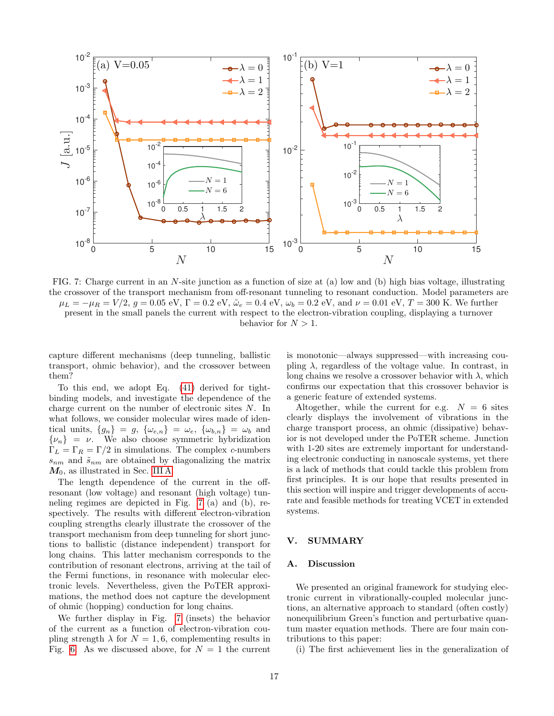<span id="page-16-1"></span>

FIG. 7: Charge current in an N-site junction as a function of size at (a) low and (b) high bias voltage, illustrating the crossover of the transport mechanism from off-resonant tunneling to resonant conduction. Model parameters are  $\mu_L = -\mu_R = V/2$ ,  $g = 0.05$  eV,  $\Gamma = 0.2$  eV,  $\tilde{\omega}_e = 0.4$  eV,  $\omega_b = 0.2$  eV, and  $\nu = 0.01$  eV,  $T = 300$  K. We further present in the small panels the current with respect to the electron-vibration coupling, displaying a turnover behavior for  $N > 1$ .

capture different mechanisms (deep tunneling, ballistic transport, ohmic behavior), and the crossover between them?

To this end, we adopt Eq. [\(41\)](#page-7-4) derived for tightbinding models, and investigate the dependence of the charge current on the number of electronic sites N. In what follows, we consider molecular wires made of identical units,  $\{g_n\} = g$ ,  $\{\omega_{e,n}\} = \omega_e$ ,  $\{\omega_{b,n}\} = \omega_b$  and  $\{\nu_n\} = \nu$ . We also choose symmetric hybridization  $\Gamma_L = \Gamma_R = \Gamma/2$  in simulations. The complex *c*-numbers  $s_{nm}$  and  $\tilde{s}_{nm}$  are obtained by diagonalizing the matrix  $M_0$ , as illustrated in Sec. [III A.](#page-4-3)

The length dependence of the current in the offresonant (low voltage) and resonant (high voltage) tunneling regimes are depicted in Fig. [7](#page-16-1) (a) and (b), respectively. The results with different electron-vibration coupling strengths clearly illustrate the crossover of the transport mechanism from deep tunneling for short junctions to ballistic (distance independent) transport for long chains. This latter mechanism corresponds to the contribution of resonant electrons, arriving at the tail of the Fermi functions, in resonance with molecular electronic levels. Nevertheless, given the PoTER approximations, the method does not capture the development of ohmic (hopping) conduction for long chains.

We further display in Fig. [7](#page-16-1) (insets) the behavior of the current as a function of electron-vibration coupling strength  $\lambda$  for  $N = 1, 6$ , complementing results in Fig. [6.](#page-14-0) As we discussed above, for  $N = 1$  the current

is monotonic—always suppressed—with increasing coupling  $\lambda$ , regardless of the voltage value. In contrast, in long chains we resolve a crossover behavior with  $\lambda$ , which confirms our expectation that this crossover behavior is a generic feature of extended systems.

Altogether, while the current for e.g.  $N = 6$  sites clearly displays the involvement of vibrations in the charge transport process, an ohmic (dissipative) behavior is not developed under the PoTER scheme. Junction with 1-20 sites are extremely important for understanding electronic conducting in nanoscale systems, yet there is a lack of methods that could tackle this problem from first principles. It is our hope that results presented in this section will inspire and trigger developments of accurate and feasible methods for treating VCET in extended systems.

### <span id="page-16-0"></span>V. SUMMARY

#### A. Discussion

We presented an original framework for studying electronic current in vibrationally-coupled molecular junctions, an alternative approach to standard (often costly) nonequilibrium Green's function and perturbative quantum master equation methods. There are four main contributions to this paper:

(i) The first achievement lies in the generalization of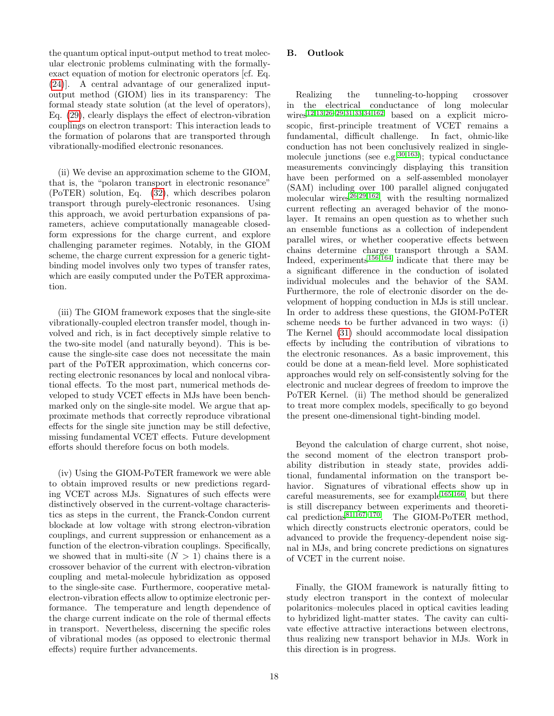the quantum optical input-output method to treat molecular electronic problems culminating with the formallyexact equation of motion for electronic operators [cf. Eq. [\(24\)](#page-5-0)]. A central advantage of our generalized inputoutput method (GIOM) lies in its transparency: The formal steady state solution (at the level of operators), Eq. [\(29\)](#page-5-1), clearly displays the effect of electron-vibration couplings on electron transport: This interaction leads to the formation of polarons that are transported through vibrationally-modified electronic resonances.

(ii) We devise an approximation scheme to the GIOM, that is, the "polaron transport in electronic resonance" (PoTER) solution, Eq. [\(32\)](#page-6-0), which describes polaron transport through purely-electronic resonances. Using this approach, we avoid perturbation expansions of parameters, achieve computationally manageable closedform expressions for the charge current, and explore challenging parameter regimes. Notably, in the GIOM scheme, the charge current expression for a generic tightbinding model involves only two types of transfer rates, which are easily computed under the PoTER approximation.

(iii) The GIOM framework exposes that the single-site vibrationally-coupled electron transfer model, though involved and rich, is in fact deceptively simple relative to the two-site model (and naturally beyond). This is because the single-site case does not necessitate the main part of the PoTER approximation, which concerns correcting electronic resonances by local and nonlocal vibrational effects. To the most part, numerical methods developed to study VCET effects in MJs have been benchmarked only on the single-site model. We argue that approximate methods that correctly reproduce vibrational effects for the single site junction may be still defective, missing fundamental VCET effects. Future development efforts should therefore focus on both models.

(iv) Using the GIOM-PoTER framework we were able to obtain improved results or new predictions regarding VCET across MJs. Signatures of such effects were distinctively observed in the current-voltage characteristics as steps in the current, the Franck-Condon current blockade at low voltage with strong electron-vibration couplings, and current suppression or enhancement as a function of the electron-vibration couplings. Specifically, we showed that in multi-site  $(N > 1)$  chains there is a crossover behavior of the current with electron-vibration coupling and metal-molecule hybridization as opposed to the single-site case. Furthermore, cooperative metalelectron-vibration effects allow to optimize electronic performance. The temperature and length dependence of the charge current indicate on the role of thermal effects in transport. Nevertheless, discerning the specific roles of vibrational modes (as opposed to electronic thermal effects) require further advancements.

# B. Outlook

Realizing the tunneling-to-hopping crossover in the electrical conductance of long molecular wires<sup>[12](#page-21-6)[,13,](#page-21-7)26-[29](#page-21-21)[,31,](#page-21-22)[33,](#page-21-23)[34](#page-21-19)[,162](#page-24-5)</sup> based on a explicit microscopic, first-principle treatment of VCET remains a fundamental, difficult challenge. In fact, ohmic-like conduction has not been conclusively realized in singlemolecule junctions (see e.g.  $30,163$  $30,163$ ); typical conductance measurements convincingly displaying this transition have been performed on a self-assembled monolayer (SAM) including over 100 parallel aligned conjugated molecular wires $^{26,29,162}$  $^{26,29,162}$  $^{26,29,162}$  $^{26,29,162}$  $^{26,29,162}$ , with the resulting normalized current reflecting an averaged behavior of the monolayer. It remains an open question as to whether such an ensemble functions as a collection of independent parallel wires, or whether cooperative effects between chains determine charge transport through a SAM. Indeed, experiments<sup>[156,](#page-24-2)[164](#page-24-7)</sup> indicate that there may be a significant difference in the conduction of isolated individual molecules and the behavior of the SAM. Furthermore, the role of electronic disorder on the development of hopping conduction in MJs is still unclear. In order to address these questions, the GIOM-PoTER scheme needs to be further advanced in two ways: (i) The Kernel [\(31\)](#page-6-1) should accommodate local dissipation effects by including the contribution of vibrations to the electronic resonances. As a basic improvement, this could be done at a mean-field level. More sophisticated approaches would rely on self-consistently solving for the electronic and nuclear degrees of freedom to improve the PoTER Kernel. (ii) The method should be generalized to treat more complex models, specifically to go beyond the present one-dimensional tight-binding model.

Beyond the calculation of charge current, shot noise, the second moment of the electron transport probability distribution in steady state, provides additional, fundamental information on the transport behavior. Signatures of vibrational effects show up in careful measurements, see for example<sup>[165](#page-24-8)[,166](#page-24-9)</sup>, but there is still discrepancy between experiments and theoreti-cal predictions<sup>[81](#page-22-29)[,167](#page-24-10)[–170](#page-24-11)</sup>. The GIOM-PoTER method, which directly constructs electronic operators, could be advanced to provide the frequency-dependent noise signal in MJs, and bring concrete predictions on signatures of VCET in the current noise.

Finally, the GIOM framework is naturally fitting to study electron transport in the context of molecular polaritonics–molecules placed in optical cavities leading to hybridized light-matter states. The cavity can cultivate effective attractive interactions between electrons, thus realizing new transport behavior in MJs. Work in this direction is in progress.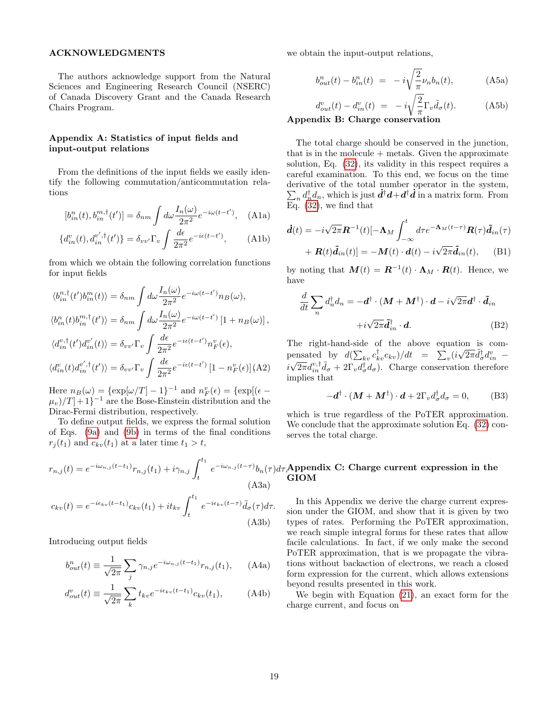#### ACKNOWLEDGMENTS

The authors acknowledge support from the Natural Sciences and Engineering Research Council (NSERC) of Canada Discovery Grant and the Canada Research Chairs Program.

# <span id="page-18-0"></span>Appendix A: Statistics of input fields and input-output relations

From the definitions of the input fields we easily identify the following commutation/anticommutation relations

$$
[b_{in}^n(t), b_{in}^{m,\dagger}(t')] = \delta_{nm} \int d\omega \frac{I_n(\omega)}{2\pi^2} e^{-i\omega(t-t')}, \quad \text{(A1a)}
$$

$$
\{d_{in}^v(t), d_{in}^{v', \dagger}(t')\} = \delta_{vv'} \Gamma_v \int \frac{d\epsilon}{2\pi^2} e^{-i\epsilon(t-t')}, \tag{A1b}
$$

from which we obtain the following correlation functions for input fields

$$
\langle b_{in}^{n,\dagger}(t')b_{in}^{m}(t)\rangle = \delta_{nm} \int d\omega \frac{I_{n}(\omega)}{2\pi^{2}} e^{-i\omega(t-t')} n_{B}(\omega),
$$
  

$$
\langle b_{in}^{n}(t)b_{in}^{m,\dagger}(t')\rangle = \delta_{nm} \int d\omega \frac{I_{n}(\omega)}{2\pi^{2}} e^{-i\omega(t-t')} [1 + n_{B}(\omega)],
$$
  

$$
\langle d_{in}^{v,\dagger}(t')d_{in}^{v'}(t)\rangle = \delta_{vv'} \Gamma_{v} \int \frac{d\epsilon}{2\pi^{2}} e^{-i\epsilon(t-t')} n_{F}^{v}(\epsilon),
$$
  

$$
\langle d_{in}^{v}(t)d_{in}^{v',\dagger}(t')\rangle = \delta_{vv'} \Gamma_{v} \int \frac{d\epsilon}{2\pi^{2}} e^{-i\epsilon(t-t')} [1 - n_{F}^{v}(\epsilon)] \text{ (A2)}
$$

Here  $n_B(\omega) = {\exp[\omega/T] - 1}^{-1}$  and  $n_F^v(\epsilon) = {\exp[(\epsilon - \epsilon_0)]}^{-1}$  $(\mu_v)/T$  + 1}<sup>-1</sup> are the Bose-Einstein distribution and the Dirac-Fermi distribution, respectively.

To define output fields, we express the formal solution of Eqs. [\(9a\)](#page-3-5) and [\(9b\)](#page-3-6) in terms of the final conditions  $r_j(t_1)$  and  $c_{kv}(t_1)$  at a later time  $t_1 > t$ ,

$$
r_{n,j}(t) = e^{-i\omega_{n,j}(t-t_1)}r_{n,j}(t_1) + i\gamma_{n,j}\int_t^{t_1} e^{-i\omega_{n,j}(t-\tau)}b_n(\tau)d
$$
\n(A3a)\n
$$
c_{kv}(t) = e^{-i\epsilon_{kv}(t-t_1)}c_{kv}(t_1) + it_{kv}\int_t^{t_1} e^{-i\epsilon_{kv}(t-\tau)}\tilde{d}_{\sigma}(\tau)d\tau.
$$
\n(A3b)

Introducing output fields

$$
b_{out}^n(t) \equiv \frac{1}{\sqrt{2\pi}} \sum_j \gamma_{n,j} e^{-i\omega_{n,j}(t-t_1)} r_{n,j}(t_1), \qquad \text{(A4a)}
$$

$$
d_{out}^v(t) \equiv \frac{1}{\sqrt{2\pi}} \sum_k t_{kv} e^{-i\epsilon_{kv}(t-t_1)} c_{kv}(t_1), \tag{A4b}
$$

we obtain the input-output relations,

$$
b_{out}^n(t) - b_{in}^n(t) = -i\sqrt{\frac{2}{\pi}}\nu_n b_n(t),
$$
 (A5a)

$$
d_{out}^{v}(t) - d_{in}^{v}(t) = -i\sqrt{\frac{2}{\pi}}\Gamma_{v}\tilde{d}_{\sigma}(t).
$$
 (A5b)

## <span id="page-18-1"></span>Appendix B: Charge conservation

The total charge should be conserved in the junction, that is in the molecule  $+$  metals. Given the approximate solution, Eq. [\(32\)](#page-6-0), its validity in this respect requires a careful examination. To this end, we focus on the time derivative of the total number operator in the system,  $\sum_n d_n^{\dagger} d_n$ , which is just  $\dot{d}^{\dagger} d + d^{\dagger} \dot{d}$  in a matrix form. From Eq. [\(32\)](#page-6-0), we find that

<span id="page-18-3"></span>
$$
\dot{\mathbf{d}}(t) = -i\sqrt{2\pi}\mathbf{R}^{-1}(t)[-\mathbf{\Lambda}_M \int_{-\infty}^t d\tau e^{-\mathbf{\Lambda}_M(t-\tau)} \mathbf{R}(\tau) \tilde{\mathbf{d}}_{in}(\tau) \n+ \mathbf{R}(t)\tilde{\mathbf{d}}_{in}(t)] = -\mathbf{M}(t) \cdot \mathbf{d}(t) - i\sqrt{2\pi}\tilde{\mathbf{d}}_{in}(t), \quad \text{(B1)}
$$

by noting that  $\mathbf{M}(t) = \mathbf{R}^{-1}(t) \cdot \mathbf{\Lambda}_M \cdot \mathbf{R}(t)$ . Hence, we have

$$
\frac{d}{dt} \sum_{n} d_{n}^{\dagger} d_{n} = -\boldsymbol{d}^{\dagger} \cdot (\boldsymbol{M} + \boldsymbol{M}^{\dagger}) \cdot \boldsymbol{d} - i\sqrt{2\pi} \boldsymbol{d}^{\dagger} \cdot \tilde{\boldsymbol{d}}_{in}
$$

$$
+ i\sqrt{2\pi} \tilde{\boldsymbol{d}}_{in}^{\dagger} \cdot \boldsymbol{d}.
$$
(B2)

The right-hand-side of the above equation is compensated by  $d(\sum_{kv} c_{kv}^{\dagger} c_{kv})/dt = \sum_{v} (i \sqrt{2\pi} \tilde{d}_{\sigma}^{\dagger} d_{in}^{v}$  $i\sqrt{2\pi}d_{in}^{v,\dagger}\tilde{d}_{\sigma} + 2\Gamma_v d_{\sigma}^{\dagger}d_{\sigma}$ . Charge conservation therefore implies that

$$
-\boldsymbol{d}^{\dagger} \cdot (\boldsymbol{M} + \boldsymbol{M}^{\dagger}) \cdot \boldsymbol{d} + 2\Gamma_v d_{\sigma}^{\dagger} d_{\sigma} = 0, \qquad (B3)
$$

which is true regardless of the PoTER approximation. We conclude that the approximate solution Eq.  $(32)$  conserves the total charge.

## <span id="page-18-2"></span> $b_n(\tau) d\tau,$ Appendix C: Charge current expression in the GIOM

In this Appendix we derive the charge current expression under the GIOM, and show that it is given by two types of rates. Performing the PoTER approximation, we reach simple integral forms for these rates that allow facile calculations. In fact, if we only make the second PoTER approximation, that is we propagate the vibrations without backaction of electrons, we reach a closed form expression for the current, which allows extensions beyond results presented in this work.

We begin with Equation [\(21\)](#page-4-2), an exact form for the charge current, and focus on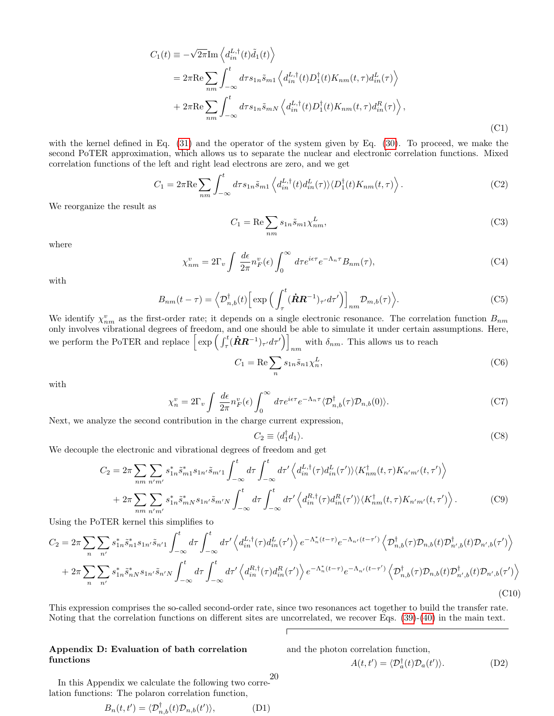$$
C_1(t) \equiv -\sqrt{2\pi} \text{Im} \left\langle d_{in}^{L,\dagger}(t) \tilde{d}_1(t) \right\rangle
$$
  
\n
$$
= 2\pi \text{Re} \sum_{nm} \int_{-\infty}^t d\tau s_{1n} \tilde{s}_{m1} \left\langle d_{in}^{L,\dagger}(t) D_1^{\dagger}(t) K_{nm}(t,\tau) d_{in}^L(\tau) \right\rangle
$$
  
\n
$$
+ 2\pi \text{Re} \sum_{nm} \int_{-\infty}^t d\tau s_{1n} \tilde{s}_{mN} \left\langle d_{in}^{L,\dagger}(t) D_1^{\dagger}(t) K_{nm}(t,\tau) d_{in}^R(\tau) \right\rangle,
$$
  
\n(C1)

with the kernel defined in Eq. [\(31\)](#page-6-1) and the operator of the system given by Eq. [\(30\)](#page-5-6). To proceed, we make the second PoTER approximation, which allows us to separate the nuclear and electronic correlation functions. Mixed correlation functions of the left and right lead electrons are zero, and we get

$$
C_1 = 2\pi \text{Re} \sum_{nm} \int_{-\infty}^t d\tau s_{1n} \tilde{s}_{m1} \left\langle d_{in}^{L,\dagger}(t) d_{in}^L(\tau) \right\rangle \langle D_1^{\dagger}(t) K_{nm}(t,\tau) \right\rangle. \tag{C2}
$$

We reorganize the result as

$$
C_1 = \text{Re}\sum_{nm} s_{1n} \tilde{s}_{m1} \chi^L_{nm},\tag{C3}
$$

where

$$
\chi_{nm}^v = 2\Gamma_v \int \frac{d\epsilon}{2\pi} n_F^v(\epsilon) \int_0^\infty d\tau e^{i\epsilon\tau} e^{-\Lambda_n \tau} B_{nm}(\tau), \tag{C4}
$$

with

$$
B_{nm}(t-\tau) = \left\langle \mathcal{D}_{n,b}^{\dagger}(t) \left[ \exp \left( \int_{\tau}^{t} (\dot{\mathbf{R}} \mathbf{R}^{-1})_{\tau'} d\tau' \right) \right]_{nm} \mathcal{D}_{m,b}(\tau) \right\rangle. \tag{C5}
$$

We identify  $\chi_{nm}^v$  as the first-order rate; it depends on a single electronic resonance. The correlation function  $B_{nm}$ only involves vibrational degrees of freedom, and one should be able to simulate it under certain assumptions. Here, we perform the PoTER and replace  $\left[\exp\left(\int_{\tau}^{t} (\dot{R}R^{-1})_{\tau'} d\tau'\right)\right]$ with  $\delta_{nm}$ . This allows us to reach

$$
C_1 = \text{Re}\sum_n s_{1n} \tilde{s}_{n1} \chi_n^L,\tag{C6}
$$

with

$$
\chi_n^v = 2\Gamma_v \int \frac{d\epsilon}{2\pi} n_F^v(\epsilon) \int_0^\infty d\tau e^{i\epsilon\tau} e^{-\Lambda_n \tau} \langle \mathcal{D}_{n,b}^\dagger(\tau) \mathcal{D}_{n,b}(0) \rangle. \tag{C7}
$$

Next, we analyze the second contribution in the charge current expression,

$$
C_2 \equiv \langle d_1^\dagger d_1 \rangle. \tag{C8}
$$

We decouple the electronic and vibrational degrees of freedom and get

$$
C_2 = 2\pi \sum_{nm} \sum_{n'm'} s_{1n}^* \tilde{s}_{m1}^* s_{1n'} \tilde{s}_{m'1} \int_{-\infty}^t d\tau \int_{-\infty}^t d\tau' \left\langle d_{in}^{L,\dagger}(\tau) d_{in}^L(\tau') \right\rangle \langle K_{nm}^{\dagger}(t,\tau) K_{n'm'}(t,\tau') \right\rangle + 2\pi \sum_{nm} \sum_{n'm'} s_{1n}^* \tilde{s}_{mN}^* s_{1n'} \tilde{s}_{m'N} \int_{-\infty}^t d\tau \int_{-\infty}^t d\tau' \left\langle d_{in}^{R,\dagger}(\tau) d_{in}^R(\tau') \right\rangle \langle K_{nm}^{\dagger}(t,\tau) K_{n'm'}(t,\tau') \right\rangle.
$$
 (C9)

Using the PoTER kernel this simplifies to

$$
C_2 = 2\pi \sum_{n} \sum_{n'} s_{1n}^* \tilde{s}_{n1}^* s_{1n'} s_{n'1} \int_{-\infty}^t d\tau' \left\langle d_{in}^{L,\dagger}(\tau) d_{in}^L(\tau') \right\rangle e^{-\Lambda_n^* (t-\tau)} e^{-\Lambda_{n'}(t-\tau')} \left\langle \mathcal{D}_{n,b}^{\dagger}(\tau) \mathcal{D}_{n,b}(t) \mathcal{D}_{n',b}^{\dagger}(t) \mathcal{D}_{n',b}(\tau') \right\rangle + 2\pi \sum_{n'} \sum_{n'} s_{1n}^* \tilde{s}_{nN}^* s_{1n'} \tilde{s}_{n'N} \int_{-\infty}^t d\tau' \left\langle d_{in}^{R,\dagger}(\tau) d_{in}^R(\tau') \right\rangle e^{-\Lambda_n^* (t-\tau)} e^{-\Lambda_{n'}(t-\tau')} \left\langle \mathcal{D}_{n,b}^{\dagger}(\tau) \mathcal{D}_{n,b}(t) \mathcal{D}_{n',b}^{\dagger}(t) \mathcal{D}_{n',b}(\tau') \right\rangle
$$
\n(C10)

This expression comprises the so-called second-order rate, since two resonances act together to build the transfer rate. Noting that the correlation functions on different sites are uncorrelated, we recover Eqs. [\(39\)](#page-7-3)-[\(40\)](#page-7-5) in the main text.

Г

# <span id="page-19-0"></span>Appendix D: Evaluation of bath correlation functions

and the photon correlation function,

$$
A(t, t') = \langle \mathcal{D}_a^{\dagger}(t) \mathcal{D}_a(t') \rangle.
$$
 (D2)

In this Appendix we calculate the following two correlation functions: The polaron correlation function, 20

$$
B_n(t, t') = \langle \mathcal{D}_{n,b}^{\dagger}(t) \mathcal{D}_{n,b}(t') \rangle, \tag{D1}
$$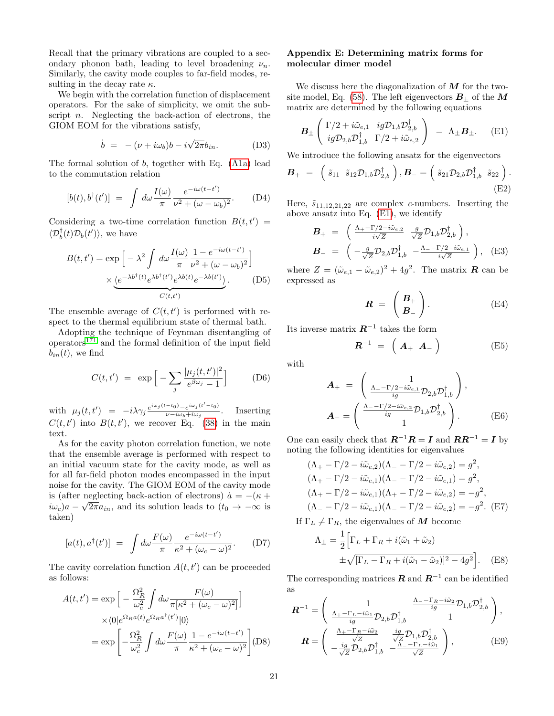Recall that the primary vibrations are coupled to a secondary phonon bath, leading to level broadening  $\nu_n$ . Similarly, the cavity mode couples to far-field modes, resulting in the decay rate  $\kappa$ .

We begin with the correlation function of displacement operators. For the sake of simplicity, we omit the subscript  $n$ . Neglecting the back-action of electrons, the GIOM EOM for the vibrations satisfy,

$$
\dot{b} = -(\nu + i\omega_b)b - i\sqrt{2\pi}b_{in}.
$$
 (D3)

The formal solution of  $b$ , together with Eq. [\(A1a\)](#page-18-3) lead to the commutation relation

$$
[b(t),b^{\dagger}(t')] = \int d\omega \frac{I(\omega)}{\pi} \frac{e^{-i\omega(t-t')}}{\nu^2 + (\omega - \omega_b)^2}.
$$
 (D4)

Considering a two-time correlation function  $B(t, t') =$  $\langle \mathcal{D}_b^{\dagger}(t) \mathcal{D}_b(t') \rangle$ , we have

$$
B(t, t') = \exp\left[-\lambda^2 \int d\omega \frac{I(\omega)}{\pi} \frac{1 - e^{-i\omega(t - t')}}{\nu^2 + (\omega - \omega_b)^2}\right] \times \underbrace{\langle e^{-\lambda b^\dagger(t)} e^{\lambda b^\dagger(t')} e^{\lambda b(t)} e^{-\lambda b(t')}}_{C(t, t')}.
$$
 (D5)

The ensemble average of  $C(t, t')$  is performed with respect to the thermal equilibrium state of thermal bath.

Adopting the technique of Feynman disentangling of  $\omega$  operators<sup>[171](#page-24-12)</sup> and the formal definition of the input field  $b_{in}(t)$ , we find

$$
C(t, t') = \exp\left[-\sum_{j} \frac{|\mu_j(t, t')|^2}{e^{\beta \omega_j} - 1}\right]
$$
 (D6)

with  $\mu_j(t,t') = -i\lambda \gamma_j \frac{e^{i\omega_j(t-t_0)} - e^{i\omega_j(t'-t_0)}}{\nu - i\omega_b + i\omega_j}$  $\frac{\omega_0 - e^{i\omega_0 + i\omega_0}}{\nu - i\omega_b + i\omega_j}$ . Inserting  $C(t, t')$  into  $B(t, t')$ , we recover Eq. [\(38\)](#page-7-6) in the main text.

As for the cavity photon correlation function, we note that the ensemble average is performed with respect to an initial vacuum state for the cavity mode, as well as for all far-field photon modes encompassed in the input noise for the cavity. The GIOM EOM of the cavity mode is (after neglecting back-action of electrons)  $\dot{a} = -(\kappa + \sqrt{\frac{g}{\kappa}})$  $i\omega_c$ )a –  $\sqrt{2\pi a_{in}}$ , and its solution leads to  $(t_0 \to -\infty$  is taken)

$$
[a(t), a^{\dagger}(t')] = \int d\omega \frac{F(\omega)}{\pi} \frac{e^{-i\omega(t-t')}}{\kappa^2 + (\omega_c - \omega)^2}.
$$
 (D7)

The cavity correlation function  $A(t, t')$  can be proceeded as follows:

$$
A(t, t') = \exp\left[-\frac{\Omega_R^2}{\omega_c^2} \int d\omega \frac{F(\omega)}{\pi [\kappa^2 + (\omega_c - \omega)^2]}\right]
$$

$$
\times \langle 0|e^{\Omega_R a(t)} e^{\Omega_R a^\dagger (t')}|0\rangle
$$

$$
= \exp\left[-\frac{\Omega_R^2}{\omega_c^2} \int d\omega \frac{F(\omega)}{\pi} \frac{1 - e^{-i\omega(t - t')}}{\kappa^2 + (\omega_c - \omega)^2}\right] \text{(D8)}
$$

# <span id="page-20-0"></span>Appendix E: Determining matrix forms for molecular dimer model

We discuss here the diagonalization of  $M$  for the two-site model, Eq. [\(58\)](#page-12-3). The left eigenvectors  $B_+$  of the M matrix are determined by the following equations

<span id="page-20-2"></span>
$$
\boldsymbol{B}_{\pm} \begin{pmatrix} \Gamma/2 + i\tilde{\omega}_{e,1} & ig \mathcal{D}_{1,b} \mathcal{D}_{2,b}^{\dagger} \\ ig \mathcal{D}_{2,b} \mathcal{D}_{1,b}^{\dagger} & \Gamma/2 + i\tilde{\omega}_{e,2} \end{pmatrix} = \Lambda_{\pm} \boldsymbol{B}_{\pm}.
$$
 (E1)

We introduce the following ansatz for the eigenvectors

$$
\boldsymbol{B}_{+} = \begin{pmatrix} \tilde{s}_{11} & \tilde{s}_{12} \mathcal{D}_{1,b} \mathcal{D}_{2,b}^{\dagger} \end{pmatrix}, \boldsymbol{B}_{-} = \begin{pmatrix} \tilde{s}_{21} \mathcal{D}_{2,b} \mathcal{D}_{1,b}^{\dagger} & \tilde{s}_{22} \end{pmatrix}.
$$
\n(E2)

Here,  $\tilde{s}_{11,12,21,22}$  are complex c-numbers. Inserting the above ansatz into Eq. [\(E1\)](#page-20-2), we identify

$$
\mathbf{B}_{+} = \begin{pmatrix} \frac{\Lambda_{+} - \Gamma/2 - i\tilde{\omega}_{e,2}}{i\sqrt{Z}} & \frac{g}{\sqrt{Z}} \mathcal{D}_{1,b} \mathcal{D}_{2,b}^{\dagger} \end{pmatrix}, \n\mathbf{B}_{-} = \begin{pmatrix} -\frac{g}{\sqrt{Z}} \mathcal{D}_{2,b} \mathcal{D}_{1,b}^{\dagger} & -\frac{\Lambda_{-} - \Gamma/2 - i\tilde{\omega}_{e,1}}{i\sqrt{Z}} \end{pmatrix}, \quad \text{(E3)}
$$

where  $Z = (\tilde{\omega}_{e,1} - \tilde{\omega}_{e,2})^2 + 4g^2$ . The matrix **R** can be expressed as

$$
\boldsymbol{R} = \begin{pmatrix} \boldsymbol{B}_+ \\ \boldsymbol{B}_- \end{pmatrix} . \tag{E4}
$$

Its inverse matrix  $R^{-1}$  takes the form

$$
\boldsymbol{R}^{-1} = \left( \begin{array}{cc} A_+ & A_- \end{array} \right) \tag{E5}
$$

with

$$
\mathbf{A}_{+} = \begin{pmatrix} 1 \\ \frac{\Lambda_{+} - \Gamma/2 - i\tilde{\omega}_{e,1}}{ig} \mathcal{D}_{2,b} \mathcal{D}_{1,b}^{\dagger} \end{pmatrix},
$$

$$
\mathbf{A}_{-} = \begin{pmatrix} \frac{\Lambda_{-} - \Gamma/2 - i\tilde{\omega}_{e,2}}{ig} \mathcal{D}_{1,b} \mathcal{D}_{2,b}^{\dagger} \\ 1 \end{pmatrix}.
$$
(E6)

One can easily check that  $\mathbf{R}^{-1}\mathbf{R} = \mathbf{I}$  and  $\mathbf{R}\mathbf{R}^{-1} = \mathbf{I}$  by noting the following identities for eigenvalues

<span id="page-20-1"></span>
$$
(\Lambda_{+} - \Gamma/2 - i\tilde{\omega}_{e,2})(\Lambda_{-} - \Gamma/2 - i\tilde{\omega}_{e,2}) = g^{2},
$$
  
\n
$$
(\Lambda_{+} - \Gamma/2 - i\tilde{\omega}_{e,1})(\Lambda_{-} - \Gamma/2 - i\tilde{\omega}_{e,1}) = g^{2},
$$
  
\n
$$
(\Lambda_{+} - \Gamma/2 - i\tilde{\omega}_{e,1})(\Lambda_{+} - \Gamma/2 - i\tilde{\omega}_{e,2}) = -g^{2},
$$
  
\n
$$
(\Lambda_{-} - \Gamma/2 - i\tilde{\omega}_{e,1})(\Lambda_{-} - \Gamma/2 - i\tilde{\omega}_{e,2}) = -g^{2}. \text{ (E7)}
$$

If  $\Gamma_L \neq \Gamma_R$ , the eigenvalues of M become

$$
\Lambda_{\pm} = \frac{1}{2} \Big[ \Gamma_L + \Gamma_R + i(\tilde{\omega}_1 + \tilde{\omega}_2) + \sqrt{[\Gamma_L - \Gamma_R + i(\tilde{\omega}_1 - \tilde{\omega}_2)]^2 - 4g^2} \Big].
$$
 (E8)

The corresponding matrices  $R$  and  $R^{-1}$  can be identified as

$$
\mathbf{R}^{-1} = \begin{pmatrix} 1 & \frac{\Lambda_{-} - \Gamma_{R} - i\tilde{\omega}_{2}}{ig} \mathcal{D}_{1,b} \mathcal{D}_{2,b}^{\dagger} \\ \frac{\Lambda_{+} - \Gamma_{L} - i\tilde{\omega}_{1}}{ig} \mathcal{D}_{2,b} \mathcal{D}_{1,b}^{\dagger} & 1 \end{pmatrix},
$$

$$
\mathbf{R} = \begin{pmatrix} \frac{\Lambda_{+} - \Gamma_{R} - i\tilde{\omega}_{2}}{\sqrt{Z}} & \frac{ig}{\sqrt{Z}} \mathcal{D}_{1,b} \mathcal{D}_{2,b}^{\dagger} \\ -\frac{ig}{\sqrt{Z}} \mathcal{D}_{2,b} \mathcal{D}_{1,b}^{\dagger} & -\frac{\Lambda_{-} - \Gamma_{L} - i\tilde{\omega}_{1}}{\sqrt{Z}} \end{pmatrix},
$$
(E9)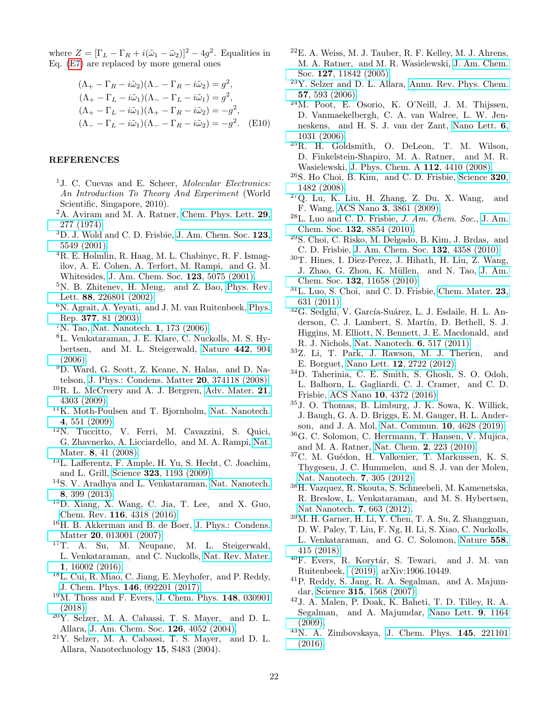where  $Z = [\Gamma_L - \Gamma_R + i(\tilde{\omega}_1 - \tilde{\omega}_2)]^2 - 4g^2$ . Equalities in Eq. [\(E7\)](#page-20-1) are replaced by more general ones

$$
(\Lambda_{+} - \Gamma_{R} - i\tilde{\omega}_{2})(\Lambda_{-} - \Gamma_{R} - i\tilde{\omega}_{2}) = g^{2},
$$
  
\n
$$
(\Lambda_{+} - \Gamma_{L} - i\tilde{\omega}_{1})(\Lambda_{-} - \Gamma_{L} - i\tilde{\omega}_{1}) = g^{2},
$$
  
\n
$$
(\Lambda_{+} - \Gamma_{L} - i\tilde{\omega}_{1})(\Lambda_{+} - \Gamma_{R} - i\tilde{\omega}_{2}) = -g^{2},
$$
  
\n
$$
(\Lambda_{-} - \Gamma_{L} - i\tilde{\omega}_{1})(\Lambda_{-} - \Gamma_{R} - i\tilde{\omega}_{2}) = -g^{2}.
$$
 (E10)

#### **REFERENCES**

- <span id="page-21-0"></span><sup>1</sup>J. C. Cuevas and E. Scheer, *Molecular Electronics:* An Introduction To Theory And Experiment (World Scientific, Singapore, 2010).
- <span id="page-21-1"></span><sup>2</sup>A. Aviram and M. A. Ratner, [Chem. Phys. Lett.](http://dx.doi.org/https://doi.org/10.1016/0009-2614(74)85031-1) 29, [277 \(1974\).](http://dx.doi.org/https://doi.org/10.1016/0009-2614(74)85031-1)
- <span id="page-21-2"></span><sup>3</sup>D. J. Wold and C. D. Frisbie, [J. Am. Chem. Soc.](http://dx.doi.org/10.1021/ja0101532) 123, [5549 \(2001\).](http://dx.doi.org/10.1021/ja0101532)
- <sup>4</sup>R. E. Holmlin, R. Haag, M. L. Chabinyc, R. F. Ismagilov, A. E. Cohen, A. Terfort, M. Rampi, and G. M. Whitesides, [J. Am. Chem. Soc.](http://dx.doi.org/10.1021/ja004055c) 123, 5075 (2001).
- <sup>5</sup>N. B. Zhitenev, H. Meng, and Z. Bao, [Phys. Rev.](http://dx.doi.org/10.1103/PhysRevLett.88.226801) Lett. 88[, 226801 \(2002\).](http://dx.doi.org/10.1103/PhysRevLett.88.226801)
- <sup>6</sup>N. Agrait, A. Yeyati, and J. M. van Ruitenbeek, [Phys.](http://www.sciencedirect.com/science/article/pii/S0370157302006336) Rep. 377[, 81 \(2003\).](http://www.sciencedirect.com/science/article/pii/S0370157302006336)
- <sup>7</sup>N. Tao, [Nat. Nanotech.](https://doi.org/10.1038/nnano.2006.130) 1, 173 (2006).
- <sup>8</sup>L. Venkataraman, J. E. Klare, C. Nuckolls, M. S. Hybertsen, and M. L. Steigerwald, [Nature](https://doi.org/10.1038/nature05037) 442, 904  $(2006).$
- <sup>9</sup>D. Ward, G. Scott, Z. Keane, N. Halas, and D. Natelson, [J. Phys.: Condens. Matter](http://dx.doi.org/ 10.1088/0953-8984/20/37/374118) 20, 374118 (2008).
- ${}^{10}R$ . L. McCreery and A. J. Bergren, [Adv. Mater.](http://dx.doi.org/10.1002/adma.200802850) 21, [4303 \(2009\).](http://dx.doi.org/10.1002/adma.200802850)
- <sup>11</sup>K. Moth-Poulsen and T. Bjornholm, [Nat. Nanotech.](https://doi.org/10.1038/nnano.2009.176) 4[, 551 \(2009\).](https://doi.org/10.1038/nnano.2009.176)
- <span id="page-21-6"></span><sup>12</sup>N. Tuccitto, V. Ferri, M. Cavazzini, S. Quici, G. Zhavnerko, A. Licciardello, and M. A. Rampi, [Nat.](https://doi.org/10.1038/nmat2332) Mater. 8[, 41 \(2008\).](https://doi.org/10.1038/nmat2332)
- <span id="page-21-7"></span><sup>13</sup>L. Lafferentz, F. Ample, H. Yu, S. Hecht, C. Joachim, and L. Grill, Science 323[, 1193 \(2009\).](http://dx.doi.org/10.1126/science.1168255)
- <span id="page-21-10"></span><sup>14</sup>S. V. Aradhya and L. Venkataraman, [Nat. Nanotech.](http://dx.doi.org/10.1038/nnano.2013.91) 8[, 399 \(2013\).](http://dx.doi.org/10.1038/nnano.2013.91)
- <span id="page-21-3"></span><sup>15</sup>D. Xiang, X. Wang, C. Jia, T. Lee, and X. Guo, Chem. Rev. 116[, 4318 \(2016\).](http://dx.doi.org/ 10.1021/acs.chemrev.5b00680)
- <span id="page-21-4"></span><sup>16</sup>H. B. Akkerman and B. de Boer, [J. Phys.: Condens.](https://doi.org/10.1088%2F0953-8984%2F20%2F01%2F013001) Matter 20[, 013001 \(2007\).](https://doi.org/10.1088%2F0953-8984%2F20%2F01%2F013001)
- $17T$ . A. Su, M. Neupane, M. L. Steigerwald, L. Venkataraman, and C. Nuckolls, [Nat. Rev. Mater.](https://doi.org/10.1038/natrevmats.2016.2) 1[, 16002 \(2016\).](https://doi.org/10.1038/natrevmats.2016.2)
- <sup>18</sup>L. Cui, R. Miao, C. Jiang, E. Meyhofer, and P. Reddy, J. Chem. Phys. 146[, 092201 \(2017\).](http://dx.doi.org/ 10.1063/1.4976982)
- <span id="page-21-5"></span> $19M$ . Thoss and F. Evers, [J. Chem. Phys.](http://dx.doi.org/10.1063/1.5003306) 148, 030901 [\(2018\).](http://dx.doi.org/10.1063/1.5003306)
- <span id="page-21-8"></span> $20\text{Y}$ . Selzer, M. A. Cabassi, T. S. Mayer, and D. L. Allara, [J. Am. Chem. Soc.](http://dx.doi.org/10.1021/ja039015y) 126, 4052 (2004).
- $21$ Y. Selzer, M. A. Cabassi, T. S. Mayer, and D. L. Allara, Nanotechnology 15, S483 (2004).
- $22E.$  A. Weiss, M. J. Tauber, R. F. Kelley, M. J. Ahrens, M. A. Ratner, and M. R. Wasielewski, [J. Am. Chem.](http://dx.doi.org/ 10.1021/ja052901j) Soc. 127[, 11842 \(2005\).](http://dx.doi.org/ 10.1021/ja052901j)
- <span id="page-21-18"></span><sup>23</sup>Y. Selzer and D. L. Allara, [Annu. Rev. Phys. Chem.](http://dx.doi.org/10.1146/annurev.physchem.57.032905.104709) 57[, 593 \(2006\).](http://dx.doi.org/10.1146/annurev.physchem.57.032905.104709)
- <span id="page-21-17"></span><sup>24</sup>M. Poot, E. Osorio, K. O'Neill, J. M. Thijssen, D. Vanmaekelbergh, C. A. van Walree, L. W. Jenneskens, and H. S. J. van der Zant, [Nano Lett.](http://dx.doi.org/ 10.1021/nl0604513) 6, [1031 \(2006\).](http://dx.doi.org/ 10.1021/nl0604513)
- <span id="page-21-14"></span><sup>25</sup>R. H. Goldsmith, O. DeLeon, T. M. Wilson, D. Finkelstein-Shapiro, M. A. Ratner, and M. R. Wasielewski, [J. Phys. Chem. A](http://dx.doi.org/10.1021/jp801084v) 112, 4410 (2008).
- <span id="page-21-20"></span><sup>26</sup>S. Ho Choi, B. Kim, and C. D. Frisbie, [Science](http://dx.doi.org/10.1126/science.1156538) 320, [1482 \(2008\).](http://dx.doi.org/10.1126/science.1156538)
- <sup>27</sup>Q. Lu, K. Liu, H. Zhang, Z. Du, X. Wang, and F. Wang, ACS Nano 3[, 3861 \(2009\).](http://dx.doi.org/10.1021/nn9012687)
- $^{28}$ L. Luo and C. D. Frisbie, *J. Am. Chem. Soc.*, [J. Am.](http://dx.doi.org/10.1021/ja103239b) Chem. Soc. 132[, 8854 \(2010\).](http://dx.doi.org/10.1021/ja103239b)
- <span id="page-21-21"></span><sup>29</sup>S. Choi, C. Risko, M. Delgado, B. Kim, J. Brdas, and C. D. Frisbie, [J. Am. Chem. Soc.](http://dx.doi.org/ 10.1021/ja910547c) 132, 4358 (2010).
- <span id="page-21-15"></span><sup>30</sup>T. Hines, I. Diez-Perez, J. Hihath, H. Liu, Z. Wang, J. Zhao, G. Zhou, K. Müllen, and N. Tao, [J. Am.](http://dx.doi.org/10.1021/ja1040946) Chem. Soc. 132[, 11658 \(2010\).](http://dx.doi.org/10.1021/ja1040946)
- <span id="page-21-22"></span> $31$ L. Luo, S. Choi, and C. D. Frisbie, [Chem. Mater.](http://dx.doi.org/10.1021/cm102402t) 23, [631 \(2011\).](http://dx.doi.org/10.1021/cm102402t)
- <span id="page-21-16"></span><sup>32</sup>G. Sedghi, V. García-Suárez, L. J. Esdaile, H. L. Anderson, C. J. Lambert, S. Martín, D. Bethell, S. J. Higgins, M. Elliott, N. Bennett, J. E. Macdonald, and R. J. Nichols, [Nat. Nanotech.](https://doi.org/10.1038/nnano.2011.111) 6, 517 (2011).
- <span id="page-21-23"></span><sup>33</sup>Z. Li, T. Park, J. Rawson, M. J. Therien, and E. Borguet, Nano Lett. 12[, 2722 \(2012\).](http://dx.doi.org/ 10.1021/nl2043216)
- <span id="page-21-19"></span><sup>34</sup>D. Taherinia, C. E. Smith, S. Ghosh, S. O. Odoh, L. Balhorn, L. Gagliardi, C. J. Cramer, and C. D. Frisbie, ACS Nano 10[, 4372 \(2016\).](http://dx.doi.org/ 10.1021/acsnano.5b08126)
- <span id="page-21-9"></span><sup>35</sup>J. O. Thomas, B. Limburg, J. K. Sowa, K. Willick, J. Baugh, G. A. D. Briggs, E. M. Gauger, H. L. Anderson, and J. A. Mol, [Nat. Commun.](https://doi.org/10.1038/s41467-019-12625-4) 10, 4628 (2019).
- <span id="page-21-11"></span><sup>36</sup>G. C. Solomon, C. Herrmann, T. Hansen, V. Mujica, and M. A. Ratner, Nat. Chem. 2[, 223 \(2010\).](https://doi.org/10.1038/nchem.546)
- <sup>37</sup>C. M. Guédon, H. Valkenier, T. Markussen, K. S. Thygesen, J. C. Hummelen, and S. J. van der Molen, [Nat. Nanotech.](http://dx.doi.org/10.1038/nnano.2012.37) 7, 305 (2012).
- <sup>38</sup>H. Vazquez, R. Skouta, S. Schneebeli, M. Kamenetska, R. Breslow, L. Venkataraman, and M. S. Hybertsen, [Nat Nanotech.](http://dx.doi.org/10.1038/nnano.2012.147) 7, 663 (2012).
- <sup>39</sup>M. H. Garner, H. Li, Y. Chen, T. A. Su, Z. Shangguan, D. W. Paley, T. Liu, F. Ng, H. Li, S. Xiao, C. Nuckolls, L. Venkataraman, and G. C. Solomon, [Nature](https://doi.org/10.1038/s41586-018-0197-9) 558, [415 \(2018\).](https://doi.org/10.1038/s41586-018-0197-9)
- <span id="page-21-12"></span><sup>40</sup>F. Evers, R. Korytár, S. Tewari, and J. M. van Ruitenbeek, [\(2019\),](https://arxiv.org/abs/1906.10449) arXiv:1906.10449.
- <span id="page-21-13"></span><sup>41</sup>P. Reddy, S. Jang, R. A. Segalman, and A. Majumdar, Science 315[, 1568 \(2007\).](http://dx.doi.org/10.1126/science.1137149)
- <sup>42</sup>J. A. Malen, P. Doak, K. Baheti, T. D. Tilley, R. A. Segalman, and A. Majumdar, [Nano Lett.](http://dx.doi.org/ 10.1021/nl803814f) 9, 1164  $(2009)$ .
- <sup>43</sup>N. A. Zimbovskaya, [J. Chem. Phys.](http://dx.doi.org/10.1063/1.4972002) 145, 221101 [\(2016\).](http://dx.doi.org/10.1063/1.4972002)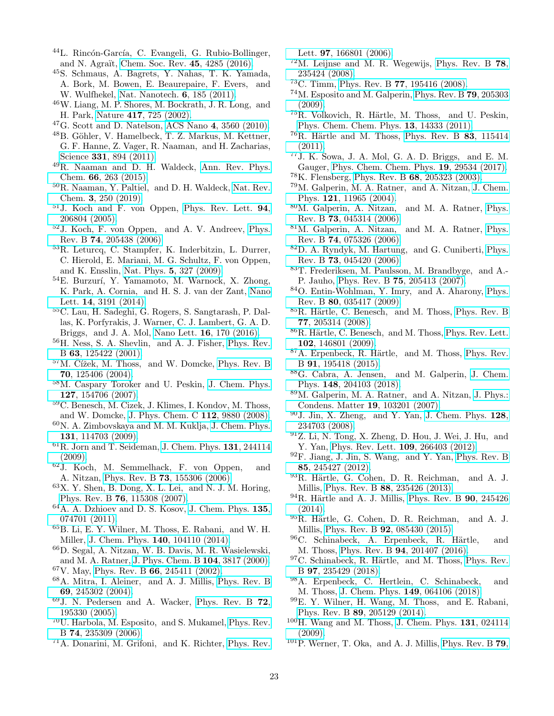- <span id="page-22-0"></span><sup>44</sup>L. Rincón-García, C. Evangeli, G. Rubio-Bollinger, and N. Agraït, [Chem. Soc. Rev.](http://dx.doi.org/10.1039/C6CS00141F) 45, 4285 (2016).
- <span id="page-22-1"></span><sup>45</sup>S. Schmaus, A. Bagrets, Y. Nahas, T. K. Yamada, A. Bork, M. Bowen, E. Beaurepaire, F. Evers, and W. Wulfhekel, [Nat. Nanotech.](https://doi.org/10.1038/nnano.2011.11) 6, 185 (2011).
- <span id="page-22-2"></span><sup>46</sup>W. Liang, M. P. Shores, M. Bockrath, J. R. Long, and H. Park, Nature 417[, 725 \(2002\).](https://doi.org/10.1038/nature00790)
- <span id="page-22-3"></span> $^{47}$ G. Scott and D. Natelson, ACS Nano 4[, 3560 \(2010\).](http://dx.doi.org/10.1021/nn100793s)
- <span id="page-22-4"></span> $^{48}$ B. Göhler, V. Hamelbeck, T. Z. Markus, M. Kettner, G. F. Hanne, Z. Vager, R. Naaman, and H. Zacharias, Science 331[, 894 \(2011\).](http://dx.doi.org/ 10.1126/science.1199339)
- <sup>49</sup>R. Naaman and D. H. Waldeck, [Ann. Rev. Phys.](http://dx.doi.org/10.1146/annurev-physchem-040214-121554) Chem. 66[, 263 \(2015\).](http://dx.doi.org/10.1146/annurev-physchem-040214-121554)
- <span id="page-22-5"></span><sup>50</sup>R. Naaman, Y. Paltiel, and D. H. Waldeck, [Nat. Rev.](https://doi.org/10.1038/s41570-019-0087-1) Chem. 3[, 250 \(2019\).](https://doi.org/10.1038/s41570-019-0087-1)
- <span id="page-22-6"></span><sup>51</sup>J. Koch and F. von Oppen, [Phys. Rev. Lett.](http://dx.doi.org/10.1103/PhysRevLett.94.206804) 94, [206804 \(2005\).](http://dx.doi.org/10.1103/PhysRevLett.94.206804)
- <sup>52</sup>J. Koch, F. von Oppen, and A. V. Andreev, [Phys.](http://dx.doi.org/10.1103/PhysRevB.74.205438) Rev. B 74[, 205438 \(2006\).](http://dx.doi.org/10.1103/PhysRevB.74.205438)
- <span id="page-22-25"></span><sup>53</sup>R. Leturcq, C. Stampfer, K. Inderbitzin, L. Durrer, C. Hierold, E. Mariani, M. G. Schultz, F. von Oppen, and K. Ensslin, Nat. Phys. 5[, 327 \(2009\).](https://doi.org/10.1038/nphys1234)
- <sup>54</sup>E. Burzurí, Y. Yamamoto, M. Warnock, X. Zhong, K. Park, A. Cornia, and H. S. J. van der Zant, [Nano](http://dx.doi.org/ 10.1021/nl500524w) Lett. 14[, 3191 \(2014\).](http://dx.doi.org/ 10.1021/nl500524w)
- <span id="page-22-7"></span><sup>55</sup>C. Lau, H. Sadeghi, G. Rogers, S. Sangtarash, P. Dallas, K. Porfyrakis, J. Warner, C. J. Lambert, G. A. D. Briggs, and J. A. Mol, Nano Lett. 16[, 170 \(2016\).](http://dx.doi.org/10.1021/acs.nanolett.5b03434)
- <span id="page-22-8"></span><sup>56</sup>H. Ness, S. A. Shevlin, and A. J. Fisher, [Phys. Rev.](http://dx.doi.org/10.1103/PhysRevB.63.125422) B 63[, 125422 \(2001\).](http://dx.doi.org/10.1103/PhysRevB.63.125422)
- $57M.$  Čížek, M. Thoss, and W. Domcke, [Phys. Rev. B](http://dx.doi.org/10.1103/PhysRevB.70.125406) 70[, 125406 \(2004\).](http://dx.doi.org/10.1103/PhysRevB.70.125406)
- <sup>58</sup>M. Caspary Toroker and U. Peskin, [J. Chem. Phys.](http://dx.doi.org/10.1063/1.2759916) 127[, 154706 \(2007\).](http://dx.doi.org/10.1063/1.2759916)
- <sup>59</sup>C. Benesch, M. Cizek, J. Klimes, I. Kondov, M. Thoss, and W. Domcke, [J. Phys. Chem. C](http://dx.doi.org/ 10.1021/jp711940n) 112, 9880 (2008).
- <sup>60</sup>N. A. Zimbovskaya and M. M. Kuklja, [J. Chem. Phys.](http://dx.doi.org/10.1063/1.3231604) 131[, 114703 \(2009\).](http://dx.doi.org/10.1063/1.3231604)
- <span id="page-22-9"></span> ${}^{61}$ R. Jorn and T. Seideman, [J. Chem. Phys.](http://dx.doi.org/10.1063/1.3276281) 131, 244114 [\(2009\).](http://dx.doi.org/10.1063/1.3276281)
- <span id="page-22-10"></span><sup>62</sup>J. Koch, M. Semmelhack, F. von Oppen, and A. Nitzan, Phys. Rev. B 73[, 155306 \(2006\).](http://dx.doi.org/10.1103/PhysRevB.73.155306)
- <span id="page-22-26"></span> $63X$ . Y. Shen, B. Dong, X. L. Lei, and N. J. M. Horing, Phys. Rev. B 76[, 115308 \(2007\).](http://dx.doi.org/ 10.1103/PhysRevB.76.115308)
- <sup>64</sup>A. A. Dzhioev and D. S. Kosov, [J. Chem. Phys.](http://dx.doi.org/10.1063/1.3626521) 135, [074701 \(2011\).](http://dx.doi.org/10.1063/1.3626521)
- <span id="page-22-11"></span><sup>65</sup>B. Li, E. Y. Wilner, M. Thoss, E. Rabani, and W. H. Miller, [J. Chem. Phys.](http://dx.doi.org/ 10.1063/1.4867789) 140, 104110 (2014).
- <span id="page-22-12"></span><sup>66</sup>D. Segal, A. Nitzan, W. B. Davis, M. R. Wasielewski, and M. A. Ratner, [J. Phys. Chem. B](http://dx.doi.org/ 10.1021/jp993260f) 104, 3817 (2000).
- $67V$ . May, Phys. Rev. B 66[, 245411 \(2002\).](http://dx.doi.org/10.1103/PhysRevB.66.245411)
- <sup>68</sup>A. Mitra, I. Aleiner, and A. J. Millis, [Phys. Rev. B](http://dx.doi.org/10.1103/PhysRevB.69.245302) 69[, 245302 \(2004\).](http://dx.doi.org/10.1103/PhysRevB.69.245302)
- <sup>69</sup>J. N. Pedersen and A. Wacker, [Phys. Rev. B](http://dx.doi.org/10.1103/PhysRevB.72.195330) 72, [195330 \(2005\).](http://dx.doi.org/10.1103/PhysRevB.72.195330)
- <sup>70</sup>U. Harbola, M. Esposito, and S. Mukamel, [Phys. Rev.](http://dx.doi.org/10.1103/PhysRevB.74.235309) B 74[, 235309 \(2006\).](http://dx.doi.org/10.1103/PhysRevB.74.235309)
- <sup>71</sup>A. Donarini, M. Grifoni, and K. Richter, [Phys. Rev.](http://dx.doi.org/10.1103/PhysRevLett.97.166801)

Lett. **97**[, 166801 \(2006\).](http://dx.doi.org/10.1103/PhysRevLett.97.166801)

- <sup>72</sup>M. Leijnse and M. R. Wegewijs, [Phys. Rev. B](http://dx.doi.org/10.1103/PhysRevB.78.235424) 78, [235424 \(2008\).](http://dx.doi.org/10.1103/PhysRevB.78.235424)
- <sup>73</sup>C. Timm, Phys. Rev. B 77[, 195416 \(2008\).](http://dx.doi.org/10.1103/PhysRevB.77.195416)
- <sup>74</sup>M. Esposito and M. Galperin, [Phys. Rev. B](http://dx.doi.org/10.1103/PhysRevB.79.205303) 79, 205303 [\(2009\).](http://dx.doi.org/10.1103/PhysRevB.79.205303)
- $^{75}R.$  Volkovich, R. Härtle, M. Thoss, and U. Peskin, [Phys. Chem. Chem. Phys.](http://dx.doi.org/ 10.1039/C1CP21161G) 13, 14333 (2011).
- $^{76}$ R. Härtle and M. Thoss, [Phys. Rev. B](http://dx.doi.org/10.1103/PhysRevB.83.115414) 83, 115414  $(2011).$
- <span id="page-22-13"></span><sup>77</sup>J. K. Sowa, J. A. Mol, G. A. D. Briggs, and E. M. Gauger, [Phys. Chem. Chem. Phys.](http://dx.doi.org/10.1039/C7CP06237K) 19, 29534 (2017).
- <span id="page-22-14"></span><sup>78</sup>K. Flensberg, Phys. Rev. B 68[, 205323 \(2003\).](http://dx.doi.org/10.1103/PhysRevB.68.205323)
- <sup>79</sup>M. Galperin, M. A. Ratner, and A. Nitzan, [J. Chem.](http://dx.doi.org/10.1063/1.1814076) Phys. 121[, 11965 \(2004\).](http://dx.doi.org/10.1063/1.1814076)
- <span id="page-22-24"></span><sup>80</sup>M. Galperin, A. Nitzan, and M. A. Ratner, [Phys.](http://dx.doi.org/10.1103/PhysRevB.73.045314) Rev. B 73[, 045314 \(2006\).](http://dx.doi.org/10.1103/PhysRevB.73.045314)
- <span id="page-22-29"></span><sup>81</sup>M. Galperin, A. Nitzan, and M. A. Ratner, [Phys.](http://dx.doi.org/10.1103/PhysRevB.74.075326) Rev. B 74[, 075326 \(2006\).](http://dx.doi.org/10.1103/PhysRevB.74.075326)
- <sup>82</sup>D. A. Ryndyk, M. Hartung, and G. Cuniberti, [Phys.](http://dx.doi.org/10.1103/PhysRevB.73.045420) Rev. B 73[, 045420 \(2006\).](http://dx.doi.org/10.1103/PhysRevB.73.045420)
- <span id="page-22-23"></span><sup>83</sup>T. Frederiksen, M. Paulsson, M. Brandbyge, and A.- P. Jauho, Phys. Rev. B 75[, 205413 \(2007\).](http://dx.doi.org/10.1103/PhysRevB.75.205413)
- <sup>84</sup>O. Entin-Wohlman, Y. Imry, and A. Aharony, [Phys.](http://dx.doi.org/10.1103/PhysRevB.80.035417) Rev. B 80[, 035417 \(2009\).](http://dx.doi.org/10.1103/PhysRevB.80.035417)
- $85R$ . Härtle, C. Benesch, and M. Thoss, [Phys. Rev. B](http://dx.doi.org/10.1103/PhysRevB.77.205314) 77[, 205314 \(2008\).](http://dx.doi.org/10.1103/PhysRevB.77.205314)
- 86R. Härtle, C. Benesch, and M. Thoss, [Phys. Rev. Lett.](http://dx.doi.org/10.1103/PhysRevLett.102.146801) 102[, 146801 \(2009\).](http://dx.doi.org/10.1103/PhysRevLett.102.146801)
- 87A. Erpenbeck, R. Härtle, and M. Thoss, [Phys. Rev.](http://dx.doi.org/10.1103/PhysRevB.91.195418) B 91[, 195418 \(2015\).](http://dx.doi.org/10.1103/PhysRevB.91.195418)
- <span id="page-22-15"></span><sup>88</sup>G. Cabra, A. Jensen, and M. Galperin, [J. Chem.](http://dx.doi.org/10.1063/1.5029252) Phys. 148[, 204103 \(2018\).](http://dx.doi.org/10.1063/1.5029252)
- <span id="page-22-16"></span><sup>89</sup>M. Galperin, M. A. Ratner, and A. Nitzan, [J. Phys.:](http://dx.doi.org/10.1088/0953-8984/19/10/103201) [Condens. Matter](http://dx.doi.org/10.1088/0953-8984/19/10/103201) 19, 103201 (2007).
- <span id="page-22-17"></span> $90$  J. Jin, X. Zheng, and Y. Yan, [J. Chem. Phys.](http://dx.doi.org/ 10.1063/1.2938087)  $128$ , [234703 \(2008\).](http://dx.doi.org/ 10.1063/1.2938087)
- <sup>91</sup>Z. Li, N. Tong, X. Zheng, D. Hou, J. Wei, J. Hu, and Y. Yan, [Phys. Rev. Lett.](http://dx.doi.org/10.1103/PhysRevLett.109.266403) 109, 266403 (2012).
- <sup>92</sup>F. Jiang, J. Jin, S. Wang, and Y. Yan, [Phys. Rev. B](http://dx.doi.org/ 10.1103/PhysRevB.85.245427) 85[, 245427 \(2012\).](http://dx.doi.org/ 10.1103/PhysRevB.85.245427)
- $93R$ . Härtle, G. Cohen, D. R. Reichman, and A. J. Millis, Phys. Rev. B 88[, 235426 \(2013\).](http://dx.doi.org/10.1103/PhysRevB.88.235426)
- $94R$ . Härtle and A. J. Millis, [Phys. Rev. B](http://dx.doi.org/10.1103/PhysRevB.90.245426) 90, 245426  $(2014).$
- <span id="page-22-21"></span><sup>95</sup>R. Härtle, G. Cohen, D. R. Reichman, and A. J. Millis, Phys. Rev. B 92[, 085430 \(2015\).](http://dx.doi.org/10.1103/PhysRevB.92.085430)
- <span id="page-22-27"></span><sup>96</sup>C. Schinabeck, A. Erpenbeck, R. Härtle, and M. Thoss, Phys. Rev. B 94[, 201407 \(2016\).](http://dx.doi.org/10.1103/PhysRevB.94.201407)
- <span id="page-22-28"></span> $97C.$  Schinabeck, R. Härtle, and M. Thoss, [Phys. Rev.](http://dx.doi.org/10.1103/PhysRevB.97.235429) B 97[, 235429 \(2018\).](http://dx.doi.org/10.1103/PhysRevB.97.235429)
- <span id="page-22-18"></span><sup>98</sup>A. Erpenbeck, C. Hertlein, C. Schinabeck, and M. Thoss, J. Chem. Phys. 149[, 064106 \(2018\).](http://dx.doi.org/10.1063/1.5041716)
- <span id="page-22-19"></span><sup>99</sup>E. Y. Wilner, H. Wang, M. Thoss, and E. Rabani, Phys. Rev. B 89[, 205129 \(2014\).](http://dx.doi.org/ 10.1103/PhysRevB.89.205129)
- <span id="page-22-20"></span> $100H$ . Wang and M. Thoss, [J. Chem. Phys.](http://dx.doi.org/10.1063/1.3173823) 131, 024114  $(2009)$ .
- <span id="page-22-22"></span> $101P$ . Werner, T. Oka, and A. J. Millis, [Phys. Rev. B](http://dx.doi.org/10.1103/PhysRevB.79.035320) 79,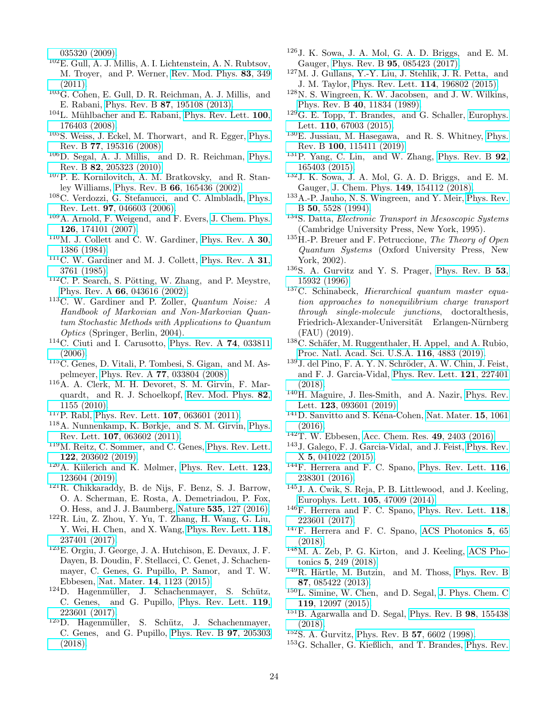[035320 \(2009\).](http://dx.doi.org/10.1103/PhysRevB.79.035320)

- <sup>102</sup>E. Gull, A. J. Millis, A. I. Lichtenstein, A. N. Rubtsov, M. Troyer, and P. Werner, [Rev. Mod. Phys.](http://dx.doi.org/ 10.1103/RevModPhys.83.349) 83, 349 [\(2011\).](http://dx.doi.org/ 10.1103/RevModPhys.83.349)
- <span id="page-23-0"></span> $103G$ . Cohen, E. Gull, D. R. Reichman, A. J. Millis, and E. Rabani, Phys. Rev. B 87[, 195108 \(2013\).](http://dx.doi.org/ 10.1103/PhysRevB.87.195108)
- <span id="page-23-1"></span> $104$ L. Mühlbacher and E. Rabani, [Phys. Rev. Lett.](http://dx.doi.org/10.1103/PhysRevLett.100.176403) 100, [176403 \(2008\).](http://dx.doi.org/10.1103/PhysRevLett.100.176403)
- <sup>105</sup>S. Weiss, J. Eckel, M. Thorwart, and R. Egger, [Phys.](http://dx.doi.org/10.1103/PhysRevB.77.195316) Rev. B 77[, 195316 \(2008\).](http://dx.doi.org/10.1103/PhysRevB.77.195316)
- <span id="page-23-2"></span><sup>106</sup>D. Segal, A. J. Millis, and D. R. Reichman, [Phys.](http://dx.doi.org/10.1103/PhysRevB.82.205323) Rev. B 82[, 205323 \(2010\).](http://dx.doi.org/10.1103/PhysRevB.82.205323)
- <span id="page-23-3"></span><sup>107</sup>P. E. Kornilovitch, A. M. Bratkovsky, and R. Stanley Williams, Phys. Rev. B 66[, 165436 \(2002\).](http://dx.doi.org/10.1103/PhysRevB.66.165436)
- <sup>108</sup>C. Verdozzi, G. Stefanucci, and C. Almbladh, [Phys.](http://dx.doi.org/10.1103/PhysRevLett.97.046603) Rev. Lett. 97[, 046603 \(2006\).](http://dx.doi.org/10.1103/PhysRevLett.97.046603)
- <span id="page-23-4"></span><sup>109</sup>A. Arnold, F. Weigend, and F. Evers, [J. Chem. Phys.](http://dx.doi.org/10.1063/1.2716664) 126[, 174101 \(2007\).](http://dx.doi.org/10.1063/1.2716664)
- <span id="page-23-5"></span> $110$ M. J. Collett and C. W. Gardiner, [Phys. Rev. A](http://dx.doi.org/10.1103/PhysRevA.30.1386)  $30$ , [1386 \(1984\).](http://dx.doi.org/10.1103/PhysRevA.30.1386)
- <span id="page-23-7"></span> $111C$ . W. Gardiner and M. J. Collett, [Phys. Rev. A](http://dx.doi.org/10.1103/PhysRevA.31.3761) 31, [3761 \(1985\).](http://dx.doi.org/10.1103/PhysRevA.31.3761)
- $112$ C. P. Search, S. Pötting, W. Zhang, and P. Meystre, Phys. Rev. A 66[, 043616 \(2002\).](http://dx.doi.org/ 10.1103/PhysRevA.66.043616)
- <span id="page-23-8"></span> $113C$ . W. Gardiner and P. Zoller, *Quantum Noise: A* Handbook of Markovian and Non-Markovian Quantum Stochastic Methods with Applications to Quantum Optics (Springer, Berlin, 2004).
- $114C$ . Ciuti and I. Carusotto, [Phys. Rev. A](http://dx.doi.org/10.1103/PhysRevA.74.033811) 74, 033811  $(2006).$
- <sup>115</sup>C. Genes, D. Vitali, P. Tombesi, S. Gigan, and M. Aspelmeyer, Phys. Rev. A 77[, 033804 \(2008\).](http://dx.doi.org/ 10.1103/PhysRevA.77.033804)
- <sup>116</sup>A. A. Clerk, M. H. Devoret, S. M. Girvin, F. Marquardt, and R. J. Schoelkopf, [Rev. Mod. Phys.](http://dx.doi.org/10.1103/RevModPhys.82.1155) 82, [1155 \(2010\).](http://dx.doi.org/10.1103/RevModPhys.82.1155)
- <sup>117</sup>P. Rabl, [Phys. Rev. Lett.](http://dx.doi.org/10.1103/PhysRevLett.107.063601) 107, 063601 (2011).
- <sup>118</sup>A. Nunnenkamp, K. Børkje, and S. M. Girvin, [Phys.](http://dx.doi.org/10.1103/PhysRevLett.107.063602) Rev. Lett. 107[, 063602 \(2011\).](http://dx.doi.org/10.1103/PhysRevLett.107.063602)
- <sup>119</sup>M. Reitz, C. Sommer, and C. Genes, [Phys. Rev. Lett.](http://dx.doi.org/10.1103/PhysRevLett.122.203602) 122[, 203602 \(2019\).](http://dx.doi.org/10.1103/PhysRevLett.122.203602)
- <span id="page-23-6"></span> $120$ A. Kiilerich and K. Mølmer, [Phys. Rev. Lett.](http://dx.doi.org/10.1103/PhysRevLett.123.123604) 123, [123604 \(2019\).](http://dx.doi.org/10.1103/PhysRevLett.123.123604)
- <span id="page-23-9"></span><sup>121</sup>R. Chikkaraddy, B. de Nijs, F. Benz, S. J. Barrow, O. A. Scherman, E. Rosta, A. Demetriadou, P. Fox, O. Hess, and J. J. Baumberg, Nature 535[, 127 \(2016\).](https://doi.org/10.1038/nature17974)
- <span id="page-23-10"></span><sup>122</sup>R. Liu, Z. Zhou, Y. Yu, T. Zhang, H. Wang, G. Liu, Y. Wei, H. Chen, and X. Wang, [Phys. Rev. Lett.](http://dx.doi.org/ 10.1103/PhysRevLett.118.237401) 118, [237401 \(2017\).](http://dx.doi.org/ 10.1103/PhysRevLett.118.237401)
- <span id="page-23-11"></span><sup>123</sup>E. Orgiu, J. George, J. A. Hutchison, E. Devaux, J. F. Dayen, B. Doudin, F. Stellacci, C. Genet, J. Schachenmayer, C. Genes, G. Pupillo, P. Samor, and T. W. Ebbesen, Nat. Mater. 14[, 1123 \(2015\).](https://doi.org/10.1038/nmat4392)
- $124D.$  Hagenmüller, J. Schachenmayer, S. Schütz, C. Genes, and G. Pupillo, [Phys. Rev. Lett.](http://dx.doi.org/10.1103/PhysRevLett.119.223601) 119, [223601 \(2017\).](http://dx.doi.org/10.1103/PhysRevLett.119.223601)
- <span id="page-23-12"></span><sup>125</sup>D. Hagenmüller, S. Schütz, J. Schachenmayer, C. Genes, and G. Pupillo, [Phys. Rev. B](http://dx.doi.org/10.1103/PhysRevB.97.205303) 97, 205303 [\(2018\).](http://dx.doi.org/10.1103/PhysRevB.97.205303)
- <span id="page-23-13"></span><sup>126</sup>J. K. Sowa, J. A. Mol, G. A. D. Briggs, and E. M. Gauger, Phys. Rev. B 95[, 085423 \(2017\).](http://dx.doi.org/10.1103/PhysRevB.95.085423)
- <span id="page-23-14"></span><sup>127</sup>M. J. Gullans, Y.-Y. Liu, J. Stehlik, J. R. Petta, and J. M. Taylor, [Phys. Rev. Lett.](http://dx.doi.org/ 10.1103/PhysRevLett.114.196802) 114, 196802 (2015).
- <span id="page-23-15"></span><sup>128</sup>N. S. Wingreen, K. W. Jacobsen, and J. W. Wilkins, Phys. Rev. B 40[, 11834 \(1989\).](http://dx.doi.org/10.1103/PhysRevB.40.11834)
- <span id="page-23-16"></span><sup>129</sup>G. E. Topp, T. Brandes, and G. Schaller, [Europhys.](http://dx.doi.org/10.1209/0295-5075/110/67003) Lett. 110[, 67003 \(2015\).](http://dx.doi.org/10.1209/0295-5075/110/67003)
- <span id="page-23-17"></span><sup>130</sup>E. Jussiau, M. Hasegawa, and R. S. Whitney, [Phys.](http://dx.doi.org/10.1103/PhysRevB.100.115411) Rev. B 100[, 115411 \(2019\).](http://dx.doi.org/10.1103/PhysRevB.100.115411)
- <span id="page-23-18"></span> $131P$ . Yang, C. Lin, and W. Zhang, [Phys. Rev. B](http://dx.doi.org/10.1103/PhysRevB.92.165403) 92, [165403 \(2015\).](http://dx.doi.org/10.1103/PhysRevB.92.165403)
- <span id="page-23-19"></span><sup>132</sup>J. K. Sowa, J. A. Mol, G. A. D. Briggs, and E. M. Gauger, [J. Chem. Phys.](http://dx.doi.org/10.1063/1.5049537) 149, 154112 (2018).
- <span id="page-23-20"></span><sup>133</sup>A.-P. Jauho, N. S. Wingreen, and Y. Meir, [Phys. Rev.](http://dx.doi.org/10.1103/PhysRevB.50.5528) B 50[, 5528 \(1994\).](http://dx.doi.org/10.1103/PhysRevB.50.5528)
- <span id="page-23-21"></span><sup>134</sup>S. Datta, Electronic Transport in Mesoscopic Systems (Cambridge University Press, New York, 1995).
- <span id="page-23-22"></span> $135H.-P.$  Breuer and F. Petruccione, The Theory of Open Quantum Systems (Oxford University Press, New York, 2002).
- <span id="page-23-23"></span> $136$ S. A. Gurvitz and Y. S. Prager, [Phys. Rev. B](http://dx.doi.org/10.1103/PhysRevB.53.15932) 53, [15932 \(1996\).](http://dx.doi.org/10.1103/PhysRevB.53.15932)
- <span id="page-23-24"></span><sup>137</sup>C. Schinabeck, *Hierarchical quantum master equa*tion approaches to nonequilibrium charge transport through single-molecule junctions, doctoralthesis, Friedrich-Alexander-Universität Erlangen-Nürnberg (FAU) (2019).
- <span id="page-23-25"></span> $138$ C. Schäfer, M. Ruggenthaler, H. Appel, and A. Rubio, [Proc. Natl. Acad. Sci. U.S.A.](http://dx.doi.org/10.1073/pnas.1814178116) 116, 4883 (2019).
- <span id="page-23-26"></span><sup>139</sup>J. del Pino, F. A. Y. N. Schröder, A. W. Chin, J. Feist, and F. J. Garcia-Vidal, [Phys. Rev. Lett.](http://dx.doi.org/10.1103/PhysRevLett.121.227401) 121, 227401 [\(2018\).](http://dx.doi.org/10.1103/PhysRevLett.121.227401)
- <span id="page-23-27"></span><sup>140</sup>H. Maguire, J. Iles-Smith, and A. Nazir, [Phys. Rev.](http://dx.doi.org/10.1103/PhysRevLett.123.093601) Lett. 123[, 093601 \(2019\).](http://dx.doi.org/10.1103/PhysRevLett.123.093601)
- <span id="page-23-28"></span> $141D.$  Sanvitto and S. Kéna-Cohen, [Nat. Mater.](https://doi.org/10.1038/nmat4668) 15, 1061  $(2016).$
- <span id="page-23-29"></span> $142$ T. W. Ebbesen, [Acc. Chem. Res.](http://dx.doi.org/10.1021/acs.accounts.6b00295) 49, 2403 (2016).
- <span id="page-23-30"></span><sup>143</sup>J. Galego, F. J. Garcia-Vidal, and J. Feist, [Phys. Rev.](http://dx.doi.org/10.1103/PhysRevX.5.041022) X 5[, 041022 \(2015\).](http://dx.doi.org/10.1103/PhysRevX.5.041022)
- <span id="page-23-31"></span><sup>144</sup>F. Herrera and F. C. Spano, [Phys. Rev. Lett.](http://dx.doi.org/10.1103/PhysRevLett.116.238301) 116, [238301 \(2016\).](http://dx.doi.org/10.1103/PhysRevLett.116.238301)
- <span id="page-23-32"></span> $145$  J. A. Ćwik, S. Reja, P. B. Littlewood, and J. Keeling, [Europhys. Lett.](http://stacks.iop.org/0295-5075/105/i=4/a=47009) 105, 47009 (2014).
- $146$ F. Herrera and F. C. Spano, [Phys. Rev. Lett.](http://dx.doi.org/10.1103/PhysRevLett.118.223601) 118, [223601 \(2017\).](http://dx.doi.org/10.1103/PhysRevLett.118.223601)
- $147F$ . Herrera and F. C. Spano, [ACS Photonics](http://dx.doi.org/10.1021/acsphotonics.7b00728) 5, 65 [\(2018\).](http://dx.doi.org/10.1021/acsphotonics.7b00728)
- <span id="page-23-33"></span><sup>148</sup>M. A. Zeb, P. G. Kirton, and J. Keeling, [ACS Pho](http://dx.doi.org/10.1021/acsphotonics.7b00916)tonics 5[, 249 \(2018\).](http://dx.doi.org/10.1021/acsphotonics.7b00916)
- <span id="page-23-34"></span> $149R$ . Härtle, M. Butzin, and M. Thoss, [Phys. Rev. B](http://dx.doi.org/10.1103/PhysRevB.87.085422) 87[, 085422 \(2013\).](http://dx.doi.org/10.1103/PhysRevB.87.085422)
- <sup>150</sup>L. Simine, W. Chen, and D. Segal, [J. Phys. Chem. C](http://dx.doi.org/10.1021/jp512648f) 119[, 12097 \(2015\).](http://dx.doi.org/10.1021/jp512648f)
- <span id="page-23-35"></span><sup>151</sup>B. Agarwalla and D. Segal, [Phys. Rev. B](http://dx.doi.org/10.1103/PhysRevB.98.155438) 98, 155438 [\(2018\).](http://dx.doi.org/10.1103/PhysRevB.98.155438)
- <span id="page-23-36"></span><sup>152</sup>S. A. Gurvitz, [Phys. Rev. B](http://dx.doi.org/10.1103/PhysRevB.57.6602) 57, 6602 (1998).
- <span id="page-23-37"></span><sup>153</sup>G. Schaller, G. Kießlich, and T. Brandes, [Phys. Rev.](http://dx.doi.org/10.1103/PhysRevB.80.245107)